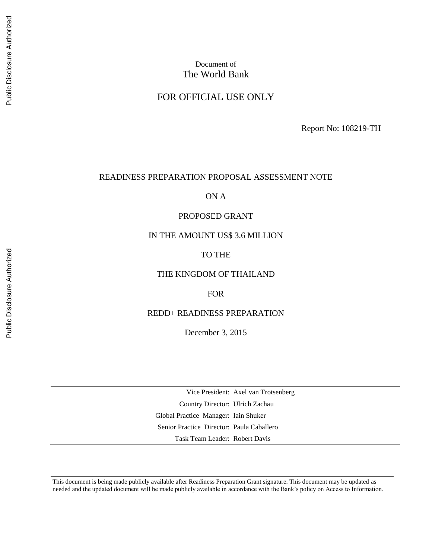## Document of The World Bank

#### FOR OFFICIAL USE ONLY

Report No: 108219-TH

#### READINESS PREPARATION PROPOSAL ASSESSMENT NOTE

ON A

#### PROPOSED GRANT

#### IN THE AMOUNT US\$ 3.6 MILLION

#### TO THE

#### THE KINGDOM OF THAILAND

#### FOR

#### REDD+ READINESS PREPARATION

December 3, 2015

Vice President: Axel van Trotsenberg Country Director: Ulrich Zachau Global Practice Manager: Iain Shuker Senior Practice Director: Paula Caballero Task Team Leader: Robert Davis

This document is being made publicly available after Readiness Preparation Grant signature. This document may be updated as needed and the updated document will be made publicly available in accordance with the Bank's policy on Access to Information.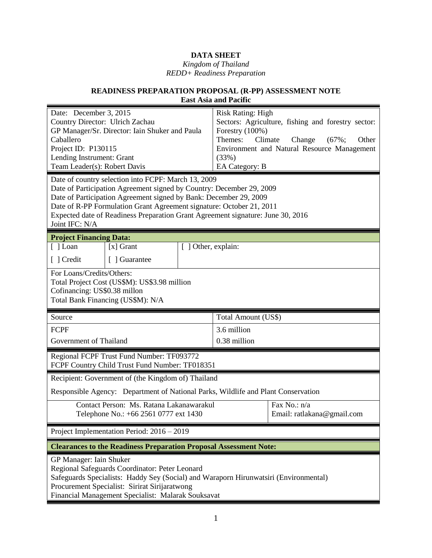# **DATA SHEET**

#### *Kingdom of Thailand REDD+ Readiness Preparation*

#### **READINESS PREPARATION PROPOSAL (R-PP) ASSESSMENT NOTE East Asia and Pacific**

| Date: December 3, 2015<br>Country Director: Ulrich Zachau<br>GP Manager/Sr. Director: Iain Shuker and Paula<br>Caballero<br>Project ID: P130115<br>Lending Instrument: Grant<br>Team Leader(s): Robert Davis<br>Date of country selection into FCPF: March 13, 2009<br>Date of Participation Agreement signed by Country: December 29, 2009<br>Date of Participation Agreement signed by Bank: December 29, 2009<br>Date of R-PP Formulation Grant Agreement signature: October 21, 2011<br>Expected date of Readiness Preparation Grant Agreement signature: June 30, 2016<br>Joint IFC: N/A |                                                                                                                                 |                     | <b>Risk Rating: High</b><br>Forestry (100%)<br>Themes:<br>(33%)<br>EA Category: B | Sectors: Agriculture, fishing and forestry sector:<br>Climate<br>Other<br>Change<br>$(67\%);$<br>Environment and Natural Resource Management |
|-----------------------------------------------------------------------------------------------------------------------------------------------------------------------------------------------------------------------------------------------------------------------------------------------------------------------------------------------------------------------------------------------------------------------------------------------------------------------------------------------------------------------------------------------------------------------------------------------|---------------------------------------------------------------------------------------------------------------------------------|---------------------|-----------------------------------------------------------------------------------|----------------------------------------------------------------------------------------------------------------------------------------------|
| <b>Project Financing Data:</b>                                                                                                                                                                                                                                                                                                                                                                                                                                                                                                                                                                |                                                                                                                                 |                     |                                                                                   |                                                                                                                                              |
| $[$ ] Loan                                                                                                                                                                                                                                                                                                                                                                                                                                                                                                                                                                                    | $[x]$ Grant                                                                                                                     | [ ] Other, explain: |                                                                                   |                                                                                                                                              |
| [ ] Credit                                                                                                                                                                                                                                                                                                                                                                                                                                                                                                                                                                                    | [ ] Guarantee                                                                                                                   |                     |                                                                                   |                                                                                                                                              |
| For Loans/Credits/Others:<br>Cofinancing: US\$0.38 millon                                                                                                                                                                                                                                                                                                                                                                                                                                                                                                                                     | Total Project Cost (US\$M): US\$3.98 million<br>Total Bank Financing (US\$M): N/A                                               |                     |                                                                                   |                                                                                                                                              |
| Source                                                                                                                                                                                                                                                                                                                                                                                                                                                                                                                                                                                        |                                                                                                                                 |                     | Total Amount (US\$)                                                               |                                                                                                                                              |
| <b>FCPF</b>                                                                                                                                                                                                                                                                                                                                                                                                                                                                                                                                                                                   |                                                                                                                                 |                     | 3.6 million                                                                       |                                                                                                                                              |
| 0.38 million<br>Government of Thailand                                                                                                                                                                                                                                                                                                                                                                                                                                                                                                                                                        |                                                                                                                                 |                     |                                                                                   |                                                                                                                                              |
| Regional FCPF Trust Fund Number: TF093772<br>FCPF Country Child Trust Fund Number: TF018351                                                                                                                                                                                                                                                                                                                                                                                                                                                                                                   |                                                                                                                                 |                     |                                                                                   |                                                                                                                                              |
|                                                                                                                                                                                                                                                                                                                                                                                                                                                                                                                                                                                               | Recipient: Government of (the Kingdom of) Thailand                                                                              |                     |                                                                                   |                                                                                                                                              |
|                                                                                                                                                                                                                                                                                                                                                                                                                                                                                                                                                                                               | Responsible Agency: Department of National Parks, Wildlife and Plant Conservation                                               |                     |                                                                                   |                                                                                                                                              |
|                                                                                                                                                                                                                                                                                                                                                                                                                                                                                                                                                                                               | Contact Person: Ms. Ratana Lakanawarakul<br>Fax No.: n/a<br>Telephone No.: +66 2561 0777 ext 1430<br>Email: ratlakana@gmail.com |                     |                                                                                   |                                                                                                                                              |
| Project Implementation Period: 2016 – 2019                                                                                                                                                                                                                                                                                                                                                                                                                                                                                                                                                    |                                                                                                                                 |                     |                                                                                   |                                                                                                                                              |
| <b>Clearances to the Readiness Preparation Proposal Assessment Note:</b>                                                                                                                                                                                                                                                                                                                                                                                                                                                                                                                      |                                                                                                                                 |                     |                                                                                   |                                                                                                                                              |
| GP Manager: Iain Shuker<br>Regional Safeguards Coordinator: Peter Leonard<br>Safeguards Specialists: Haddy Sey (Social) and Waraporn Hirunwatsiri (Environmental)<br>Procurement Specialist: Sirirat Sirijaratwong<br>Financial Management Specialist: Malarak Souksavat                                                                                                                                                                                                                                                                                                                      |                                                                                                                                 |                     |                                                                                   |                                                                                                                                              |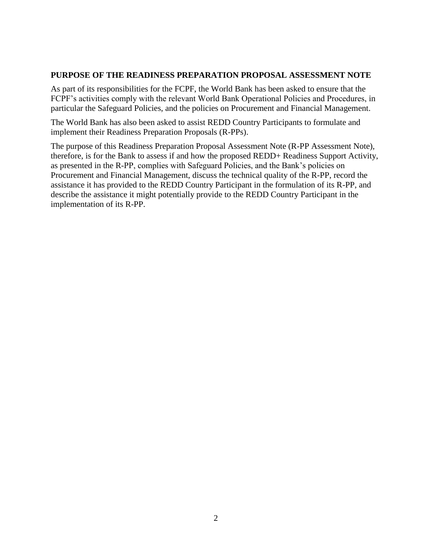#### **PURPOSE OF THE READINESS PREPARATION PROPOSAL ASSESSMENT NOTE**

As part of its responsibilities for the FCPF, the World Bank has been asked to ensure that the FCPF's activities comply with the relevant World Bank Operational Policies and Procedures, in particular the Safeguard Policies, and the policies on Procurement and Financial Management.

The World Bank has also been asked to assist REDD Country Participants to formulate and implement their Readiness Preparation Proposals (R-PPs).

The purpose of this Readiness Preparation Proposal Assessment Note (R-PP Assessment Note), therefore, is for the Bank to assess if and how the proposed REDD+ Readiness Support Activity, as presented in the R-PP, complies with Safeguard Policies, and the Bank's policies on Procurement and Financial Management, discuss the technical quality of the R-PP, record the assistance it has provided to the REDD Country Participant in the formulation of its R-PP, and describe the assistance it might potentially provide to the REDD Country Participant in the implementation of its R-PP.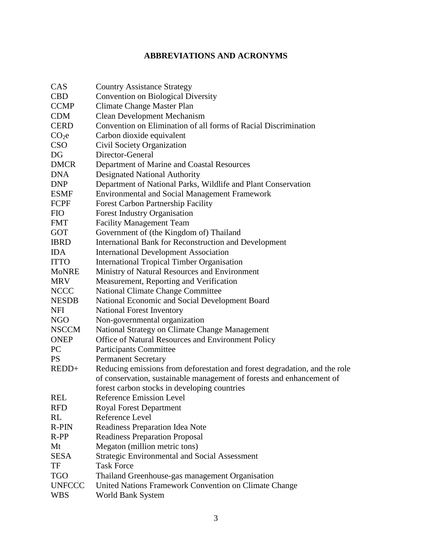# **ABBREVIATIONS AND ACRONYMS**

| CAS               | <b>Country Assistance Strategy</b>                                         |
|-------------------|----------------------------------------------------------------------------|
| <b>CBD</b>        | <b>Convention on Biological Diversity</b>                                  |
| <b>CCMP</b>       | Climate Change Master Plan                                                 |
| <b>CDM</b>        | <b>Clean Development Mechanism</b>                                         |
| <b>CERD</b>       | Convention on Elimination of all forms of Racial Discrimination            |
| CO <sub>2</sub> e | Carbon dioxide equivalent                                                  |
| <b>CSO</b>        | Civil Society Organization                                                 |
| DG                | Director-General                                                           |
| <b>DMCR</b>       | Department of Marine and Coastal Resources                                 |
| <b>DNA</b>        | <b>Designated National Authority</b>                                       |
| <b>DNP</b>        | Department of National Parks, Wildlife and Plant Conservation              |
| <b>ESMF</b>       | <b>Environmental and Social Management Framework</b>                       |
| FCPF              | Forest Carbon Partnership Facility                                         |
| <b>FIO</b>        | <b>Forest Industry Organisation</b>                                        |
| <b>FMT</b>        | <b>Facility Management Team</b>                                            |
| <b>GOT</b>        | Government of (the Kingdom of) Thailand                                    |
| <b>IBRD</b>       | International Bank for Reconstruction and Development                      |
| <b>IDA</b>        | <b>International Development Association</b>                               |
| <b>ITTO</b>       | <b>International Tropical Timber Organisation</b>                          |
| <b>MoNRE</b>      | Ministry of Natural Resources and Environment                              |
| <b>MRV</b>        | Measurement, Reporting and Verification                                    |
| <b>NCCC</b>       | <b>National Climate Change Committee</b>                                   |
| <b>NESDB</b>      | National Economic and Social Development Board                             |
| NFI               | <b>National Forest Inventory</b>                                           |
| <b>NGO</b>        | Non-governmental organization                                              |
| <b>NSCCM</b>      | National Strategy on Climate Change Management                             |
| <b>ONEP</b>       | Office of Natural Resources and Environment Policy                         |
| PC                | Participants Committee                                                     |
| <b>PS</b>         | <b>Permanent Secretary</b>                                                 |
| REDD+             | Reducing emissions from deforestation and forest degradation, and the role |
|                   | of conservation, sustainable management of forests and enhancement of      |
|                   | forest carbon stocks in developing countries                               |
| <b>REL</b>        | Reference Emission Level                                                   |
| <b>RFD</b>        | <b>Royal Forest Department</b>                                             |
| RL                | Reference Level                                                            |
| <b>R-PIN</b>      | Readiness Preparation Idea Note                                            |
| $R-PP$            | <b>Readiness Preparation Proposal</b>                                      |
| Mt                | Megaton (million metric tons)                                              |
| <b>SESA</b>       | <b>Strategic Environmental and Social Assessment</b>                       |
| TF                | <b>Task Force</b>                                                          |
| <b>TGO</b>        | Thailand Greenhouse-gas management Organisation                            |
| <b>UNFCCC</b>     | United Nations Framework Convention on Climate Change                      |
| <b>WBS</b>        | World Bank System                                                          |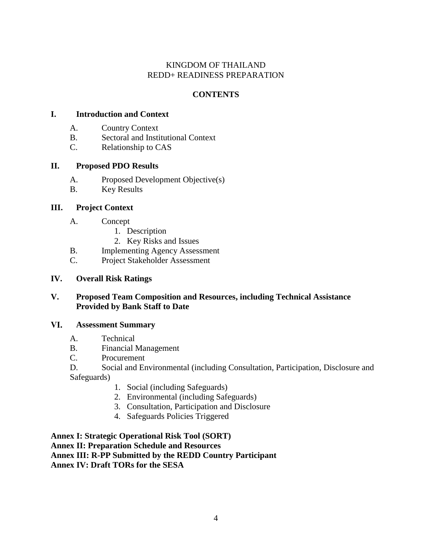#### KINGDOM OF THAILAND REDD+ READINESS PREPARATION

## **CONTENTS**

#### **I. Introduction and Context**

- A. Country Context
- B. Sectoral and Institutional Context
- C. Relationship to CAS

#### **II. Proposed PDO Results**

- A. Proposed Development Objective(s)
- B. Key Results

#### **III. Project Context**

- A. Concept
	- 1. Description
	- 2. Key Risks and Issues
- B. Implementing Agency Assessment
- C. Project Stakeholder Assessment

#### **IV. Overall Risk Ratings**

#### **V. Proposed Team Composition and Resources, including Technical Assistance Provided by Bank Staff to Date**

#### VI. **Assessment Summary**

- A. Technical
- B. Financial Management
- C. Procurement

D. Social and Environmental (including Consultation, Participation, Disclosure and Safeguards)

- 1. Social (including Safeguards)
- 2. Environmental (including Safeguards)
- 3. Consultation, Participation and Disclosure
- 4. Safeguards Policies Triggered

**Annex I: Strategic Operational Risk Tool (SORT) Annex II: Preparation Schedule and Resources Annex III: R-PP Submitted by the REDD Country Participant Annex IV: Draft TORs for the SESA**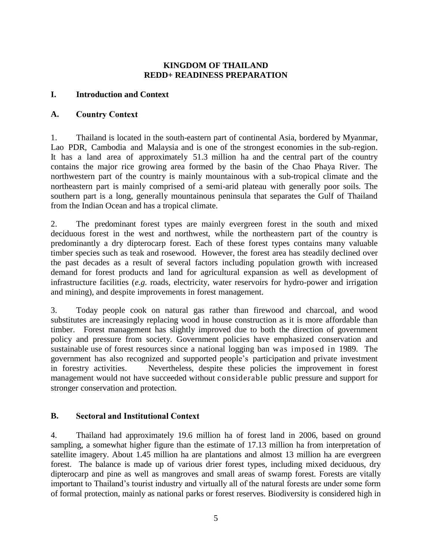#### **KINGDOM OF THAILAND REDD+ READINESS PREPARATION**

#### **I. Introduction and Context**

#### **A. Country Context**

1. Thailand is located in the south-eastern part of continental Asia, bordered by Myanmar, Lao PDR, Cambodia and Malaysia and is one of the strongest economies in the sub-region. It has a land area of approximately 51.3 million ha and the central part of the country contains the major rice growing area formed by the basin of the Chao Phaya River. The northwestern part of the country is mainly mountainous with a sub-tropical climate and the northeastern part is mainly comprised of a semi-arid plateau with generally poor soils. The southern part is a long, generally mountainous peninsula that separates the Gulf of Thailand from the Indian Ocean and has a tropical climate.

2. The predominant forest types are mainly evergreen forest in the south and mixed deciduous forest in the west and northwest, while the northeastern part of the country is predominantly a dry dipterocarp forest. Each of these forest types contains many valuable timber species such as teak and rosewood. However, the forest area has steadily declined over the past decades as a result of several factors including population growth with increased demand for forest products and land for agricultural expansion as well as development of infrastructure facilities (*e.g*. roads, electricity, water reservoirs for hydro-power and irrigation and mining), and despite improvements in forest management.

3. Today people cook on natural gas rather than firewood and charcoal, and wood substitutes are increasingly replacing wood in house construction as it is more affordable than timber. Forest management has slightly improved due to both the direction of government policy and pressure from society. Government policies have emphasized conservation and sustainable use of forest resources since a national logging ban was imposed in 1989. The government has also recognized and supported people's participation and private investment in forestry activities. Nevertheless, despite these policies the improvement in forest management would not have succeeded without considerable public pressure and support for stronger conservation and protection.

#### **B. Sectoral and Institutional Context**

4. Thailand had approximately 19.6 million ha of forest land in 2006, based on ground sampling, a somewhat higher figure than the estimate of 17.13 million ha from interpretation of satellite imagery. About 1.45 million ha are plantations and almost 13 million ha are evergreen forest. The balance is made up of various drier forest types, including mixed deciduous, dry dipterocarp and pine as well as mangroves and small areas of swamp forest. Forests are vitally important to Thailand's tourist industry and virtually all of the natural forests are under some form of formal protection, mainly as national parks or forest reserves. Biodiversity is considered high in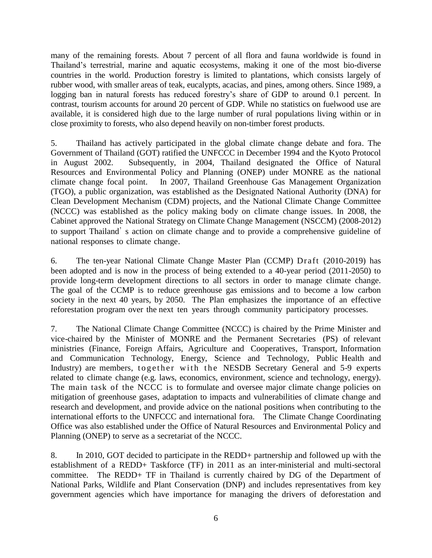many of the remaining forests. About 7 percent of all flora and fauna worldwide is found in Thailand's terrestrial, marine and aquatic ecosystems, making it one of the most bio-diverse countries in the world. Production forestry is limited to plantations, which consists largely of rubber wood, with smaller areas of teak, eucalypts, acacias, and pines, among others. Since 1989, a logging ban in natural forests has reduced forestry's share of GDP to around 0.1 percent. In contrast, tourism accounts for around 20 percent of GDP. While no statistics on fuelwood use are available, it is considered high due to the large number of rural populations living within or in close proximity to forests, who also depend heavily on non-timber forest products.

5. Thailand has actively participated in the global climate change debate and fora. The Government of Thailand (GOT) ratified the UNFCCC in December 1994 and the Kyoto Protocol in August 2002. Subsequently, in 2004, Thailand designated the Office of Natural Resources and Environmental Policy and Planning (ONEP) under MONRE as the national climate change focal point. In 2007, Thailand Greenhouse Gas Management Organization (TGO), a public organization, was established as the Designated National Authority (DNA) for Clean Development Mechanism (CDM) projects, and the National Climate Change Committee (NCCC) was established as the policy making body on climate change issues. In 2008, the Cabinet approved the National Strategy on Climate Change Management (NSCCM) (2008-2012) to support Thailand's action on climate change and to provide a comprehensive guideline of national responses to climate change.

6. The ten-year National Climate Change Master Plan (CCMP) Draft (2010-2019) has been adopted and is now in the process of being extended to a 40-year period (2011-2050) to provide long-term development directions to all sectors in order to manage climate change. The goal of the CCMP is to reduce greenhouse gas emissions and to become a low carbon society in the next 40 years, by 2050. The Plan emphasizes the importance of an effective reforestation program over the next ten years through community participatory processes.

7. The National Climate Change Committee (NCCC) is chaired by the Prime Minister and vice-chaired by the Minister of MONRE and the Permanent Secretaries (PS) of relevant ministries (Finance, Foreign Affairs, Agriculture and Cooperatives, Transport, Information and Communication Technology, Energy, Science and Technology, Public Health and Industry) are members, together with the NESDB Secretary General and 5-9 experts related to climate change (e.g. laws, economics, environment, science and technology, energy). The main task of the NCCC is to formulate and oversee major climate change policies on mitigation of greenhouse gases, adaptation to impacts and vulnerabilities of climate change and research and development, and provide advice on the national positions when contributing to the international efforts to the UNFCCC and international fora. The Climate Change Coordinating Office was also established under the Office of Natural Resources and Environmental Policy and Planning (ONEP) to serve as a secretariat of the NCCC.

8. In 2010, GOT decided to participate in the REDD+ partnership and followed up with the establishment of a REDD+ Taskforce (TF) in 2011 as an inter-ministerial and multi-sectoral committee. The REDD+ TF in Thailand is currently chaired by DG of the Department of National Parks, Wildlife and Plant Conservation (DNP) and includes representatives from key government agencies which have importance for managing the drivers of deforestation and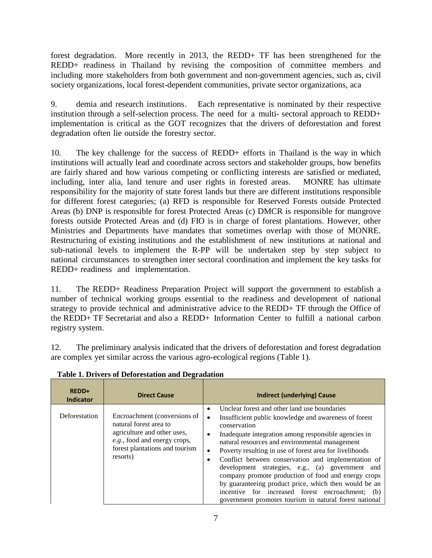forest degradation. More recently in 2013, the REDD+ TF has been strengthened for the REDD+ readiness in Thailand by revising the composition of committee members and including more stakeholders from both government and non-government agencies, such as, civil society organizations, local forest-dependent communities, private sector organizations, aca

9. demia and research institutions. Each representative is nominated by their respective institution through a self-selection process. The need for a multi- sectoral approach to REDD+ implementation is critical as the GOT recognizes that the drivers of deforestation and forest degradation often lie outside the forestry sector.

10. The key challenge for the success of REDD+ efforts in Thailand is the way in which institutions will actually lead and coordinate across sectors and stakeholder groups, how benefits are fairly shared and how various competing or conflicting interests are satisfied or mediated, including, inter alia, land tenure and user rights in forested areas. MONRE has ultimate responsibility for the majority of state forest lands but there are different institutions responsible for different forest categories; (a) RFD is responsible for Reserved Forests outside Protected Areas (b) DNP is responsible for forest Protected Areas (c) DMCR is responsible for mangrove forests outside Protected Areas and (d) FIO is in charge of forest plantations. However, other Ministries and Departments have mandates that sometimes overlap with those of MONRE. Restructuring of existing institutions and the establishment of new institutions at national and sub-national levels to implement the R-PP will be undertaken step by step subject to national circumstances to strengthen inter sectoral coordination and implement the key tasks for REDD+ readiness and implementation.

11. The REDD+ Readiness Preparation Project will support the government to establish a number of technical working groups essential to the readiness and development of national strategy to provide technical and administrative advice to the REDD+ TF through the Office of the REDD+ TF Secretariat and also a REDD+ Information Center to fulfill a national carbon registry system.

12. The preliminary analysis indicated that the drivers of deforestation and forest degradation are complex yet similar across the various agro-ecological regions (Table 1).

| REDD+<br><b>Indicator</b> | <b>Direct Cause</b>                                                                                                                                                 | <b>Indirect (underlying) Cause</b>                                                                                                                                                                                                                                                                                                                                                                                                                                                                                                                                                                                                                                                   |
|---------------------------|---------------------------------------------------------------------------------------------------------------------------------------------------------------------|--------------------------------------------------------------------------------------------------------------------------------------------------------------------------------------------------------------------------------------------------------------------------------------------------------------------------------------------------------------------------------------------------------------------------------------------------------------------------------------------------------------------------------------------------------------------------------------------------------------------------------------------------------------------------------------|
| Deforestation             | Encroachment (conversions of<br>natural forest area to<br>agriculture and other uses,<br>e.g., food and energy crops,<br>forest plantations and tourism<br>resorts) | Unclear forest and other land use boundaries<br>٠<br>Insufficient public knowledge and awareness of forest<br>$\bullet$<br>conservation<br>Inadequate integration among responsible agencies in<br>$\bullet$<br>natural resources and environmental management<br>Poverty resulting in use of forest area for livelihoods<br>$\bullet$<br>Conflict between conservation and implementation of<br>٠<br>development strategies, e.g., (a) government and<br>company promote production of food and energy crops<br>by guaranteeing product price, which then would be an<br>incentive for increased forest encroachment; (b)<br>government promotes tourism in natural forest national |

**Table 1. Drivers of Deforestation and Degradation**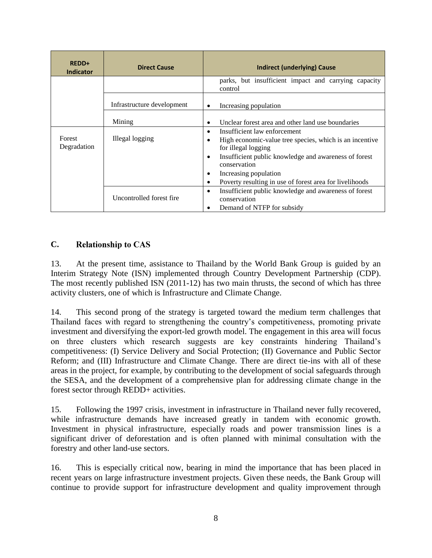| REDD+<br><b>Indicator</b> | <b>Direct Cause</b>        | Indirect (underlying) Cause                                                                                                                                                                                                                                                                                          |
|---------------------------|----------------------------|----------------------------------------------------------------------------------------------------------------------------------------------------------------------------------------------------------------------------------------------------------------------------------------------------------------------|
|                           |                            | parks, but insufficient impact and carrying capacity<br>control                                                                                                                                                                                                                                                      |
|                           | Infrastructure development | Increasing population<br>$\bullet$                                                                                                                                                                                                                                                                                   |
|                           | Mining                     | Unclear forest area and other land use boundaries                                                                                                                                                                                                                                                                    |
| Forest<br>Degradation     | Illegal logging            | Insufficient law enforcement<br>$\bullet$<br>High economic-value tree species, which is an incentive<br>$\bullet$<br>for illegal logging<br>Insufficient public knowledge and awareness of forest<br>٠<br>conservation<br>Increasing population<br>٠<br>Poverty resulting in use of forest area for livelihoods<br>٠ |
|                           | Uncontrolled forest fire   | Insufficient public knowledge and awareness of forest<br>$\bullet$<br>conservation<br>Demand of NTFP for subsidy<br>٠                                                                                                                                                                                                |

#### **C. Relationship to CAS**

13. At the present time, assistance to Thailand by the World Bank Group is guided by an Interim Strategy Note (ISN) implemented through Country Development Partnership (CDP). The most recently published ISN (2011-12) has two main thrusts, the second of which has three activity clusters, one of which is Infrastructure and Climate Change.

14. This second prong of the strategy is targeted toward the medium term challenges that Thailand faces with regard to strengthening the country's competitiveness, promoting private investment and diversifying the export-led growth model. The engagement in this area will focus on three clusters which research suggests are key constraints hindering Thailand's competitiveness: (I) Service Delivery and Social Protection; (II) Governance and Public Sector Reform; and (III) Infrastructure and Climate Change. There are direct tie-ins with all of these areas in the project, for example, by contributing to the development of social safeguards through the SESA, and the development of a comprehensive plan for addressing climate change in the forest sector through REDD+ activities.

15. Following the 1997 crisis, investment in infrastructure in Thailand never fully recovered, while infrastructure demands have increased greatly in tandem with economic growth. Investment in physical infrastructure, especially roads and power transmission lines is a significant driver of deforestation and is often planned with minimal consultation with the forestry and other land-use sectors.

16. This is especially critical now, bearing in mind the importance that has been placed in recent years on large infrastructure investment projects. Given these needs, the Bank Group will continue to provide support for infrastructure development and quality improvement through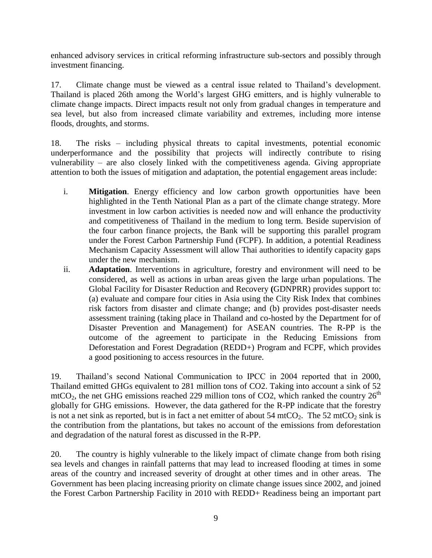enhanced advisory services in critical reforming infrastructure sub-sectors and possibly through investment financing.

17. Climate change must be viewed as a central issue related to Thailand's development. Thailand is placed 26th among the World's largest GHG emitters, and is highly vulnerable to climate change impacts. Direct impacts result not only from gradual changes in temperature and sea level, but also from increased climate variability and extremes, including more intense floods, droughts, and storms.

18. The risks – including physical threats to capital investments, potential economic underperformance and the possibility that projects will indirectly contribute to rising vulnerability – are also closely linked with the competitiveness agenda. Giving appropriate attention to both the issues of mitigation and adaptation, the potential engagement areas include:

- i. **Mitigation**. Energy efficiency and low carbon growth opportunities have been highlighted in the Tenth National Plan as a part of the climate change strategy. More investment in low carbon activities is needed now and will enhance the productivity and competitiveness of Thailand in the medium to long term. Beside supervision of the four carbon finance projects, the Bank will be supporting this parallel program under the Forest Carbon Partnership Fund (FCPF). In addition, a potential Readiness Mechanism Capacity Assessment will allow Thai authorities to identify capacity gaps under the new mechanism.
- ii. **Adaptation**. Interventions in agriculture, forestry and environment will need to be considered, as well as actions in urban areas given the large urban populations. The Global Facility for Disaster Reduction and Recovery **(**GDNPRR) provides support to: (a) evaluate and compare four cities in Asia using the City Risk Index that combines risk factors from disaster and climate change; and (b) provides post-disaster needs assessment training (taking place in Thailand and co-hosted by the Department for of Disaster Prevention and Management) for ASEAN countries. The R-PP is the outcome of the agreement to participate in the Reducing Emissions from Deforestation and Forest Degradation (REDD+) Program and FCPF, which provides a good positioning to access resources in the future.

19. Thailand's second National Communication to IPCC in 2004 reported that in 2000, Thailand emitted GHGs equivalent to 281 million tons of CO2. Taking into account a sink of 52  $\text{mtCO}_2$ , the net GHG emissions reached 229 million tons of CO2, which ranked the country 26<sup>th</sup> globally for GHG emissions. However, the data gathered for the R-PP indicate that the forestry is not a net sink as reported, but is in fact a net emitter of about 54 mtCO<sub>2</sub>. The 52 mtCO<sub>2</sub> sink is the contribution from the plantations, but takes no account of the emissions from deforestation and degradation of the natural forest as discussed in the R-PP.

20. The country is highly vulnerable to the likely impact of climate change from both rising sea levels and changes in rainfall patterns that may lead to increased flooding at times in some areas of the country and increased severity of drought at other times and in other areas. The Government has been placing increasing priority on climate change issues since 2002, and joined the Forest Carbon Partnership Facility in 2010 with REDD+ Readiness being an important part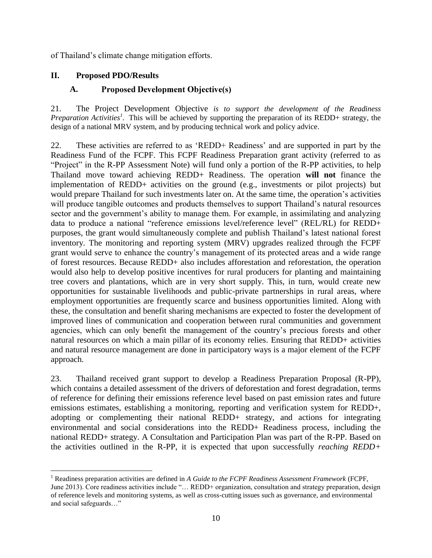of Thailand's climate change mitigation efforts.

#### **II. Proposed PDO/Results**

 $\overline{a}$ 

#### **A. Proposed Development Objective(s)**

21. The Project Development Objective *is to support the development of the Readiness Preparation Activities<sup>1</sup> .* This will be achieved by supporting the preparation of its REDD+ strategy, the design of a national MRV system, and by producing technical work and policy advice.

22. These activities are referred to as 'REDD+ Readiness' and are supported in part by the Readiness Fund of the FCPF. This FCPF Readiness Preparation grant activity (referred to as "Project" in the R-PP Assessment Note) will fund only a portion of the R-PP activities, to help Thailand move toward achieving REDD+ Readiness. The operation **will not** finance the implementation of REDD+ activities on the ground (e.g., investments or pilot projects) but would prepare Thailand for such investments later on. At the same time, the operation's activities will produce tangible outcomes and products themselves to support Thailand's natural resources sector and the government's ability to manage them. For example, in assimilating and analyzing data to produce a national "reference emissions level/reference level" (REL/RL) for REDD+ purposes, the grant would simultaneously complete and publish Thailand's latest national forest inventory. The monitoring and reporting system (MRV) upgrades realized through the FCPF grant would serve to enhance the country's management of its protected areas and a wide range of forest resources. Because REDD+ also includes afforestation and reforestation, the operation would also help to develop positive incentives for rural producers for planting and maintaining tree covers and plantations, which are in very short supply. This, in turn, would create new opportunities for sustainable livelihoods and public-private partnerships in rural areas, where employment opportunities are frequently scarce and business opportunities limited. Along with these, the consultation and benefit sharing mechanisms are expected to foster the development of improved lines of communication and cooperation between rural communities and government agencies, which can only benefit the management of the country's precious forests and other natural resources on which a main pillar of its economy relies. Ensuring that REDD+ activities and natural resource management are done in participatory ways is a major element of the FCPF approach.

23. Thailand received grant support to develop a Readiness Preparation Proposal (R-PP), which contains a detailed assessment of the drivers of deforestation and forest degradation, terms of reference for defining their emissions reference level based on past emission rates and future emissions estimates, establishing a monitoring, reporting and verification system for REDD+, adopting or complementing their national REDD+ strategy, and actions for integrating environmental and social considerations into the REDD+ Readiness process, including the national REDD+ strategy. A Consultation and Participation Plan was part of the R-PP. Based on the activities outlined in the R-PP, it is expected that upon successfully *reaching REDD+* 

<sup>1</sup> Readiness preparation activities are defined in *A Guide to the FCPF Readiness Assessment Framework* (FCPF, June 2013). Core readiness activities include "... REDD+ organization, consultation and strategy preparation, design of reference levels and monitoring systems, as well as cross-cutting issues such as governance, and environmental and social safeguards…"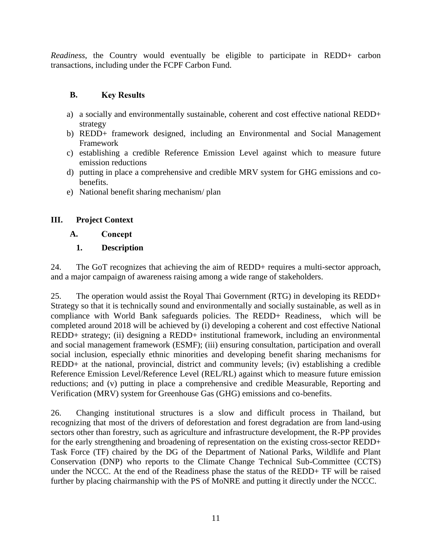*Readiness*, the Country would eventually be eligible to participate in REDD+ carbon transactions, including under the FCPF Carbon Fund.

#### **B. Key Results**

- a) a socially and environmentally sustainable, coherent and cost effective national REDD+ strategy
- b) REDD+ framework designed, including an Environmental and Social Management Framework
- c) establishing a credible Reference Emission Level against which to measure future emission reductions
- d) putting in place a comprehensive and credible MRV system for GHG emissions and cobenefits.
- e) National benefit sharing mechanism/ plan

## **III. Project Context**

#### **A.** Concept

# **1. Description**

24. The GoT recognizes that achieving the aim of REDD+ requires a multi-sector approach, and a major campaign of awareness raising among a wide range of stakeholders.

25. The operation would assist the Royal Thai Government (RTG) in developing its REDD+ Strategy so that it is technically sound and environmentally and socially sustainable, as well as in compliance with World Bank safeguards policies. The REDD+ Readiness, which will be completed around 2018 will be achieved by (i) developing a coherent and cost effective National REDD+ strategy; (ii) designing a REDD+ institutional framework, including an environmental and social management framework (ESMF); (iii) ensuring consultation, participation and overall social inclusion, especially ethnic minorities and developing benefit sharing mechanisms for REDD+ at the national, provincial, district and community levels; (iv) establishing a credible Reference Emission Level/Reference Level (REL/RL) against which to measure future emission reductions; and (v) putting in place a comprehensive and credible Measurable, Reporting and Verification (MRV) system for Greenhouse Gas (GHG) emissions and co-benefits.

26. Changing institutional structures is a slow and difficult process in Thailand, but recognizing that most of the drivers of deforestation and forest degradation are from land-using sectors other than forestry, such as agriculture and infrastructure development, the R-PP provides for the early strengthening and broadening of representation on the existing cross-sector REDD+ Task Force (TF) chaired by the DG of the Department of National Parks, Wildlife and Plant Conservation (DNP) who reports to the Climate Change Technical Sub-Committee (CCTS) under the NCCC. At the end of the Readiness phase the status of the REDD+ TF will be raised further by placing chairmanship with the PS of MoNRE and putting it directly under the NCCC.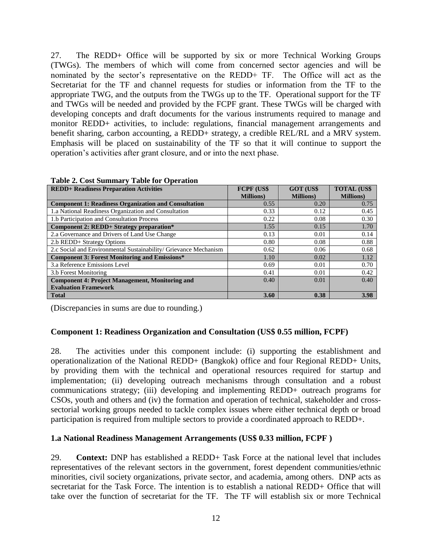27. The REDD+ Office will be supported by six or more Technical Working Groups (TWGs). The members of which will come from concerned sector agencies and will be nominated by the sector's representative on the REDD+ TF. The Office will act as the Secretariat for the TF and channel requests for studies or information from the TF to the appropriate TWG, and the outputs from the TWGs up to the TF. Operational support for the TF and TWGs will be needed and provided by the FCPF grant. These TWGs will be charged with developing concepts and draft documents for the various instruments required to manage and monitor REDD+ activities, to include: regulations, financial management arrangements and benefit sharing, carbon accounting, a REDD+ strategy, a credible REL/RL and a MRV system. Emphasis will be placed on sustainability of the TF so that it will continue to support the operation's activities after grant closure, and or into the next phase.

| <b>REDD+ Readiness Preparation Activities</b>                    | <b>FCPF (US\$</b> | <b>GOT (US\$</b>  | <b>TOTAL (US\$)</b> |
|------------------------------------------------------------------|-------------------|-------------------|---------------------|
|                                                                  | <b>Millions</b> ) | <b>Millions</b> ) | <b>Millions</b> )   |
| <b>Component 1: Readiness Organization and Consultation</b>      | 0.55              | 0.20              | 0.75                |
| 1.a National Readiness Organization and Consultation             | 0.33              | 0.12              | 0.45                |
| 1.b Participation and Consultation Process                       | 0.22              | 0.08              | 0.30                |
| Component 2: REDD+ Strategy preparation*                         | 1.55              | 0.15              | 1.70                |
| 2.a Governance and Drivers of Land Use Change                    | 0.13              | 0.01              | 0.14                |
| 2.b REDD+ Strategy Options                                       | 0.80              | 0.08              | 0.88                |
| 2.c Social and Environmental Sustainability/ Grievance Mechanism | 0.62              | 0.06              | 0.68                |
| <b>Component 3: Forest Monitoring and Emissions*</b>             | 1.10              | 0.02              | 1.12                |
| 3.a Reference Emissions Level                                    | 0.69              | 0.01              | 0.70                |
| 3.b Forest Monitoring                                            | 0.41              | 0.01              | 0.42                |
| <b>Component 4: Project Management, Monitoring and</b>           | 0.40              | 0.01              | 0.40                |
| <b>Evaluation Framework</b>                                      |                   |                   |                     |
| <b>Total</b>                                                     | 3.60              | 0.38              | 3.98                |

#### **Table 2. Cost Summary Table for Operation**

(Discrepancies in sums are due to rounding.)

#### **Component 1: Readiness Organization and Consultation (US\$ 0.55 million, FCPF)**

28. The activities under this component include: (i) supporting the establishment and operationalization of the National REDD+ (Bangkok) office and four Regional REDD+ Units, by providing them with the technical and operational resources required for startup and implementation; (ii) developing outreach mechanisms through consultation and a robust communications strategy; (iii) developing and implementing REDD+ outreach programs for CSOs, youth and others and (iv) the formation and operation of technical, stakeholder and crosssectorial working groups needed to tackle complex issues where either technical depth or broad participation is required from multiple sectors to provide a coordinated approach to REDD+.

#### **1.a National Readiness Management Arrangements (US\$ 0.33 million, FCPF )**

29. **Context:** DNP has established a REDD+ Task Force at the national level that includes representatives of the relevant sectors in the government, forest dependent communities/ethnic minorities, civil society organizations, private sector, and academia, among others. DNP acts as secretariat for the Task Force. The intention is to establish a national REDD+ Office that will take over the function of secretariat for the TF. The TF will establish six or more Technical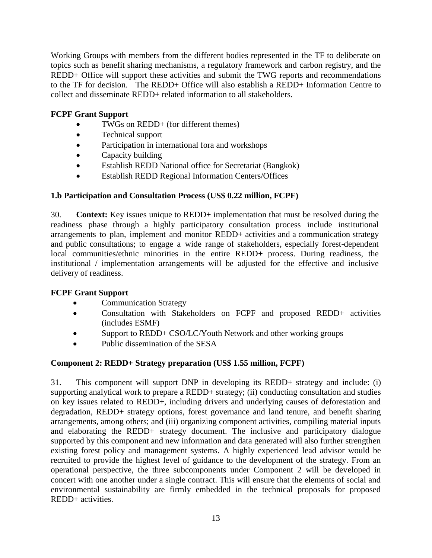Working Groups with members from the different bodies represented in the TF to deliberate on topics such as benefit sharing mechanisms, a regulatory framework and carbon registry, and the REDD+ Office will support these activities and submit the TWG reports and recommendations to the TF for decision. The REDD+ Office will also establish a REDD+ Information Centre to collect and disseminate REDD+ related information to all stakeholders.

## **FCPF Grant Support**

- TWGs on REDD+ (for different themes)
- Technical support
- Participation in international fora and workshops
- Capacity building
- Establish REDD National office for Secretariat (Bangkok)
- Establish REDD Regional Information Centers/Offices

## **1.b Participation and Consultation Process (US\$ 0.22 million, FCPF)**

30. **Context:** Key issues unique to REDD+ implementation that must be resolved during the readiness phase through a highly participatory consultation process include institutional arrangements to plan, implement and monitor REDD+ activities and a communication strategy and public consultations; to engage a wide range of stakeholders, especially forest-dependent local communities/ethnic minorities in the entire REDD+ process. During readiness, the institutional / implementation arrangements will be adjusted for the effective and inclusive delivery of readiness.

## **FCPF Grant Support**

- Communication Strategy
- Consultation with Stakeholders on FCPF and proposed REDD+ activities (includes ESMF)
- Support to REDD+ CSO/LC/Youth Network and other working groups
- Public dissemination of the SESA

## **Component 2: REDD+ Strategy preparation (US\$ 1.55 million, FCPF)**

31. This component will support DNP in developing its REDD+ strategy and include: (i) supporting analytical work to prepare a REDD+ strategy; (ii) conducting consultation and studies on key issues related to REDD+, including drivers and underlying causes of deforestation and degradation, REDD+ strategy options, forest governance and land tenure, and benefit sharing arrangements, among others; and (iii) organizing component activities, compiling material inputs and elaborating the REDD+ strategy document. The inclusive and participatory dialogue supported by this component and new information and data generated will also further strengthen existing forest policy and management systems. A highly experienced lead advisor would be recruited to provide the highest level of guidance to the development of the strategy. From an operational perspective, the three subcomponents under Component 2 will be developed in concert with one another under a single contract. This will ensure that the elements of social and environmental sustainability are firmly embedded in the technical proposals for proposed REDD+ activities.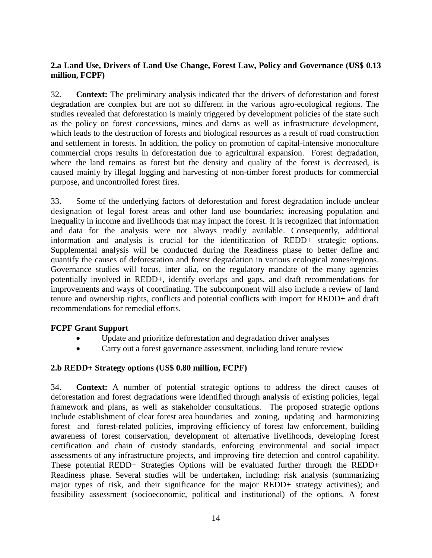## **2.a Land Use, Drivers of Land Use Change, Forest Law, Policy and Governance (US\$ 0.13 million, FCPF)**

32. **Context:** The preliminary analysis indicated that the drivers of deforestation and forest degradation are complex but are not so different in the various agro-ecological regions. The studies revealed that deforestation is mainly triggered by development policies of the state such as the policy on forest concessions, mines and dams as well as infrastructure development, which leads to the destruction of forests and biological resources as a result of road construction and settlement in forests. In addition, the policy on promotion of capital-intensive monoculture commercial crops results in deforestation due to agricultural expansion. Forest degradation, where the land remains as forest but the density and quality of the forest is decreased, is caused mainly by illegal logging and harvesting of non-timber forest products for commercial purpose, and uncontrolled forest fires.

33. Some of the underlying factors of deforestation and forest degradation include unclear designation of legal forest areas and other land use boundaries; increasing population and inequality in income and livelihoods that may impact the forest. It is recognized that information and data for the analysis were not always readily available. Consequently, additional information and analysis is crucial for the identification of REDD+ strategic options. Supplemental analysis will be conducted during the Readiness phase to better define and quantify the causes of deforestation and forest degradation in various ecological zones/regions. Governance studies will focus, inter alia, on the regulatory mandate of the many agencies potentially involved in REDD+, identify overlaps and gaps, and draft recommendations for improvements and ways of coordinating. The subcomponent will also include a review of land tenure and ownership rights, conflicts and potential conflicts with import for REDD+ and draft recommendations for remedial efforts.

## **FCPF Grant Support**

- Update and prioritize deforestation and degradation driver analyses
- Carry out a forest governance assessment, including land tenure review

## **2.b REDD+ Strategy options (US\$ 0.80 million, FCPF)**

34. **Context:** A number of potential strategic options to address the direct causes of deforestation and forest degradations were identified through analysis of existing policies, legal framework and plans, as well as stakeholder consultations. The proposed strategic options include establishment of clear forest area boundaries and zoning, updating and harmonizing forest and forest-related policies, improving efficiency of forest law enforcement, building awareness of forest conservation, development of alternative livelihoods, developing forest certification and chain of custody standards, enforcing environmental and social impact assessments of any infrastructure projects, and improving fire detection and control capability. These potential REDD+ Strategies Options will be evaluated further through the REDD+ Readiness phase. Several studies will be undertaken, including: risk analysis (summarizing major types of risk, and their significance for the major REDD+ strategy activities); and feasibility assessment (socioeconomic, political and institutional) of the options. A forest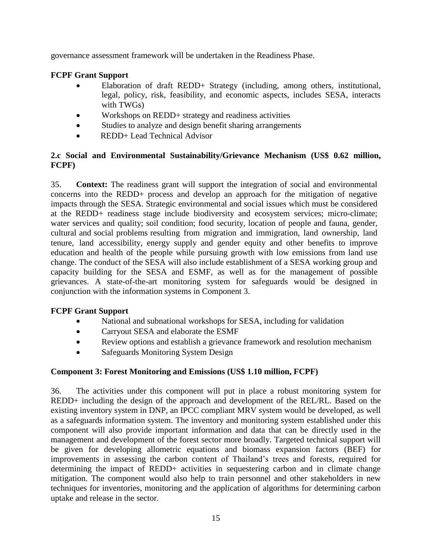governance assessment framework will be undertaken in the Readiness Phase.

## **FCPF Grant Support**

- Elaboration of draft REDD+ Strategy (including, among others, institutional, legal, policy, risk, feasibility, and economic aspects, includes SESA, interacts with TWGs)
- Workshops on REDD+ strategy and readiness activities
- Studies to analyze and design benefit sharing arrangements
- REDD+ Lead Technical Advisor

## **2.c Social and Environmental Sustainability/Grievance Mechanism (US\$ 0.62 million, FCPF)**

35. **Context:** The readiness grant will support the integration of social and environmental concerns into the REDD+ process and develop an approach for the mitigation of negative impacts through the SESA. Strategic environmental and social issues which must be considered at the REDD+ readiness stage include biodiversity and ecosystem services; micro-climate; water services and quality; soil condition; food security, location of people and fauna, gender, cultural and social problems resulting from migration and immigration, land ownership, land tenure, land accessibility, energy supply and gender equity and other benefits to improve education and health of the people while pursuing growth with low emissions from land use change. The conduct of the SESA will also include establishment of a SESA working group and capacity building for the SESA and ESMF, as well as for the management of possible grievances. A state-of-the-art monitoring system for safeguards would be designed in conjunction with the information systems in Component 3.

## **FCPF Grant Support**

- National and subnational workshops for SESA, including for validation
- Carryout SESA and elaborate the ESMF
- Review options and establish a grievance framework and resolution mechanism
- Safeguards Monitoring System Design

## **Component 3: Forest Monitoring and Emissions (US\$ 1.10 million, FCPF)**

36. The activities under this component will put in place a robust monitoring system for REDD+ including the design of the approach and development of the REL/RL. Based on the existing inventory system in DNP, an IPCC compliant MRV system would be developed, as well as a safeguards information system. The inventory and monitoring system established under this component will also provide important information and data that can be directly used in the management and development of the forest sector more broadly. Targeted technical support will be given for developing allometric equations and biomass expansion factors (BEF) for improvements in assessing the carbon content of Thailand's trees and forests, required for determining the impact of REDD+ activities in sequestering carbon and in climate change mitigation. The component would also help to train personnel and other stakeholders in new techniques for inventories, monitoring and the application of algorithms for determining carbon uptake and release in the sector.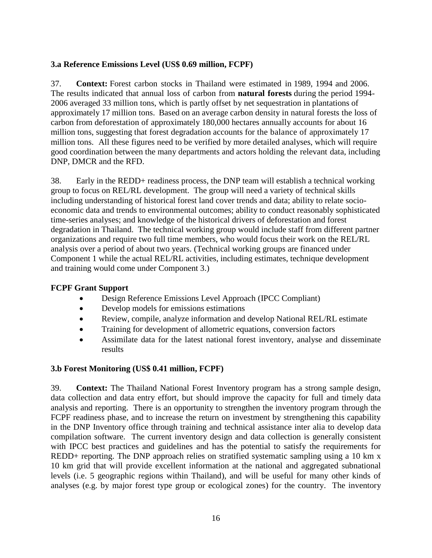## **3.a Reference Emissions Level (US\$ 0.69 million, FCPF)**

37. **Context:** Forest carbon stocks in Thailand were estimated in 1989, 1994 and 2006. The results indicated that annual loss of carbon from **natural forests** during the period 1994- 2006 averaged 33 million tons, which is partly offset by net sequestration in plantations of approximately 17 million tons. Based on an average carbon density in natural forests the loss of carbon from deforestation of approximately 180,000 hectares annually accounts for about 16 million tons, suggesting that forest degradation accounts for the balance of approximately 17 million tons. All these figures need to be verified by more detailed analyses, which will require good coordination between the many departments and actors holding the relevant data, including DNP, DMCR and the RFD.

38. Early in the REDD+ readiness process, the DNP team will establish a technical working group to focus on REL/RL development. The group will need a variety of technical skills including understanding of historical forest land cover trends and data; ability to relate socioeconomic data and trends to environmental outcomes; ability to conduct reasonably sophisticated time-series analyses; and knowledge of the historical drivers of deforestation and forest degradation in Thailand. The technical working group would include staff from different partner organizations and require two full time members, who would focus their work on the REL/RL analysis over a period of about two years. (Technical working groups are financed under Component 1 while the actual REL/RL activities, including estimates, technique development and training would come under Component 3.)

## **FCPF Grant Support**

- Design Reference Emissions Level Approach (IPCC Compliant)
- Develop models for emissions estimations
- Review, compile, analyze information and develop National REL/RL estimate
- Training for development of allometric equations, conversion factors
- Assimilate data for the latest national forest inventory, analyse and disseminate results

## **3.b Forest Monitoring (US\$ 0.41 million, FCPF)**

39. **Context:** The Thailand National Forest Inventory program has a strong sample design, data collection and data entry effort, but should improve the capacity for full and timely data analysis and reporting. There is an opportunity to strengthen the inventory program through the FCPF readiness phase, and to increase the return on investment by strengthening this capability in the DNP Inventory office through training and technical assistance inter alia to develop data compilation software. The current inventory design and data collection is generally consistent with IPCC best practices and guidelines and has the potential to satisfy the requirements for REDD+ reporting. The DNP approach relies on stratified systematic sampling using a 10 km x 10 km grid that will provide excellent information at the national and aggregated subnational levels (i.e. 5 geographic regions within Thailand), and will be useful for many other kinds of analyses (e.g. by major forest type group or ecological zones) for the country. The inventory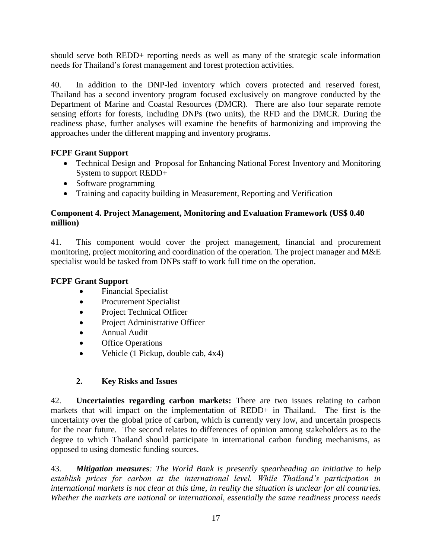should serve both REDD+ reporting needs as well as many of the strategic scale information needs for Thailand's forest management and forest protection activities.

40. In addition to the DNP-led inventory which covers protected and reserved forest, Thailand has a second inventory program focused exclusively on mangrove conducted by the Department of Marine and Coastal Resources (DMCR). There are also four separate remote sensing efforts for forests, including DNPs (two units), the RFD and the DMCR. During the readiness phase, further analyses will examine the benefits of harmonizing and improving the approaches under the different mapping and inventory programs.

## **FCPF Grant Support**

- Technical Design and Proposal for Enhancing National Forest Inventory and Monitoring System to support REDD+
- Software programming
- Training and capacity building in Measurement, Reporting and Verification

## **Component 4. Project Management, Monitoring and Evaluation Framework (US\$ 0.40 million)**

41. This component would cover the project management, financial and procurement monitoring, project monitoring and coordination of the operation. The project manager and M&E specialist would be tasked from DNPs staff to work full time on the operation.

## **FCPF Grant Support**

- Financial Specialist
- Procurement Specialist
- Project Technical Officer
- Project Administrative Officer
- Annual Audit
- Office Operations
- Vehicle (1 Pickup, double cab, 4x4)

## **2. Key Risks and Issues**

42. **Uncertainties regarding carbon markets:** There are two issues relating to carbon markets that will impact on the implementation of REDD+ in Thailand. The first is the uncertainty over the global price of carbon, which is currently very low, and uncertain prospects for the near future. The second relates to differences of opinion among stakeholders as to the degree to which Thailand should participate in international carbon funding mechanisms, as opposed to using domestic funding sources.

43. *Mitigation measures: The World Bank is presently spearheading an initiative to help establish prices for carbon at the international level. While Thailand's participation in international markets is not clear at this time, in reality the situation is unclear for all countries. Whether the markets are national or international, essentially the same readiness process needs*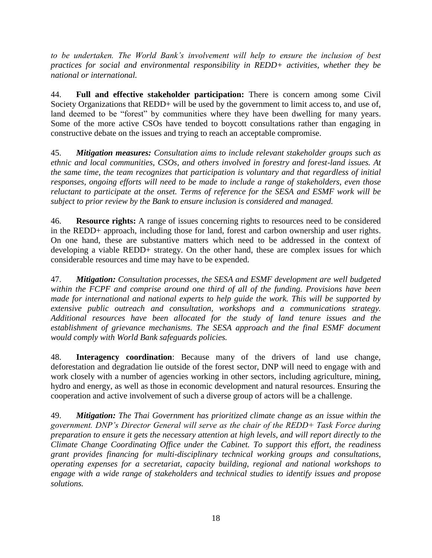*to be undertaken. The World Bank's involvement will help to ensure the inclusion of best practices for social and environmental responsibility in REDD+ activities, whether they be national or international.* 

44. **Full and effective stakeholder participation:** There is concern among some Civil Society Organizations that REDD+ will be used by the government to limit access to, and use of, land deemed to be "forest" by communities where they have been dwelling for many years. Some of the more active CSOs have tended to boycott consultations rather than engaging in constructive debate on the issues and trying to reach an acceptable compromise.

45. *Mitigation measures: Consultation aims to include relevant stakeholder groups such as ethnic and local communities, CSOs, and others involved in forestry and forest-land issues. At the same time, the team recognizes that participation is voluntary and that regardless of initial responses, ongoing efforts will need to be made to include a range of stakeholders, even those reluctant to participate at the onset. Terms of reference for the SESA and ESMF work will be subject to prior review by the Bank to ensure inclusion is considered and managed.* 

46. **Resource rights:** A range of issues concerning rights to resources need to be considered in the REDD+ approach, including those for land, forest and carbon ownership and user rights. On one hand, these are substantive matters which need to be addressed in the context of developing a viable REDD+ strategy. On the other hand, these are complex issues for which considerable resources and time may have to be expended.

47. *Mitigation: Consultation processes, the SESA and ESMF development are well budgeted within the FCPF and comprise around one third of all of the funding. Provisions have been made for international and national experts to help guide the work. This will be supported by extensive public outreach and consultation, workshops and a communications strategy. Additional resources have been allocated for the study of land tenure issues and the establishment of grievance mechanisms. The SESA approach and the final ESMF document would comply with World Bank safeguards policies.* 

48. **Interagency coordination**: Because many of the drivers of land use change, deforestation and degradation lie outside of the forest sector, DNP will need to engage with and work closely with a number of agencies working in other sectors, including agriculture, mining, hydro and energy, as well as those in economic development and natural resources. Ensuring the cooperation and active involvement of such a diverse group of actors will be a challenge.

49. *Mitigation: The Thai Government has prioritized climate change as an issue within the government. DNP's Director General will serve as the chair of the REDD+ Task Force during preparation to ensure it gets the necessary attention at high levels, and will report directly to the Climate Change Coordinating Office under the Cabinet. To support this effort, the readiness grant provides financing for multi-disciplinary technical working groups and consultations, operating expenses for a secretariat, capacity building, regional and national workshops to engage with a wide range of stakeholders and technical studies to identify issues and propose solutions.*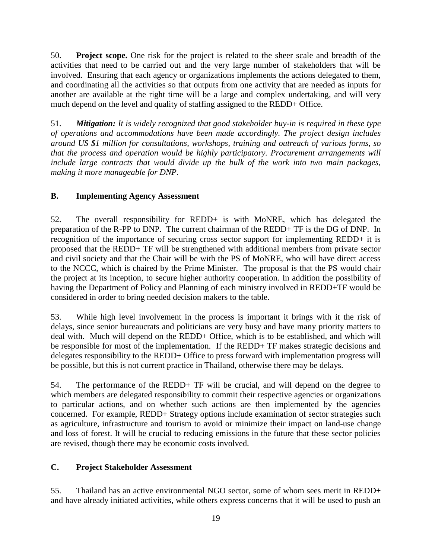50. **Project scope.** One risk for the project is related to the sheer scale and breadth of the activities that need to be carried out and the very large number of stakeholders that will be involved. Ensuring that each agency or organizations implements the actions delegated to them, and coordinating all the activities so that outputs from one activity that are needed as inputs for another are available at the right time will be a large and complex undertaking, and will very much depend on the level and quality of staffing assigned to the REDD+ Office.

51. *Mitigation: It is widely recognized that good stakeholder buy-in is required in these type of operations and accommodations have been made accordingly. The project design includes around US \$1 million for consultations, workshops, training and outreach of various forms, so that the process and operation would be highly participatory. Procurement arrangements will include large contracts that would divide up the bulk of the work into two main packages, making it more manageable for DNP.*

## **B. Implementing Agency Assessment**

52. The overall responsibility for REDD+ is with MoNRE, which has delegated the preparation of the R-PP to DNP. The current chairman of the REDD+ TF is the DG of DNP. In recognition of the importance of securing cross sector support for implementing REDD+ it is proposed that the REDD+ TF will be strengthened with additional members from private sector and civil society and that the Chair will be with the PS of MoNRE, who will have direct access to the NCCC, which is chaired by the Prime Minister. The proposal is that the PS would chair the project at its inception, to secure higher authority cooperation. In addition the possibility of having the Department of Policy and Planning of each ministry involved in REDD+TF would be considered in order to bring needed decision makers to the table.

53. While high level involvement in the process is important it brings with it the risk of delays, since senior bureaucrats and politicians are very busy and have many priority matters to deal with. Much will depend on the REDD+ Office, which is to be established, and which will be responsible for most of the implementation. If the REDD+ TF makes strategic decisions and delegates responsibility to the REDD+ Office to press forward with implementation progress will be possible, but this is not current practice in Thailand, otherwise there may be delays.

54. The performance of the REDD+ TF will be crucial, and will depend on the degree to which members are delegated responsibility to commit their respective agencies or organizations to particular actions, and on whether such actions are then implemented by the agencies concerned. For example, REDD+ Strategy options include examination of sector strategies such as agriculture, infrastructure and tourism to avoid or minimize their impact on land-use change and loss of forest. It will be crucial to reducing emissions in the future that these sector policies are revised, though there may be economic costs involved.

## **C. Project Stakeholder Assessment**

55. Thailand has an active environmental NGO sector, some of whom sees merit in REDD+ and have already initiated activities, while others express concerns that it will be used to push an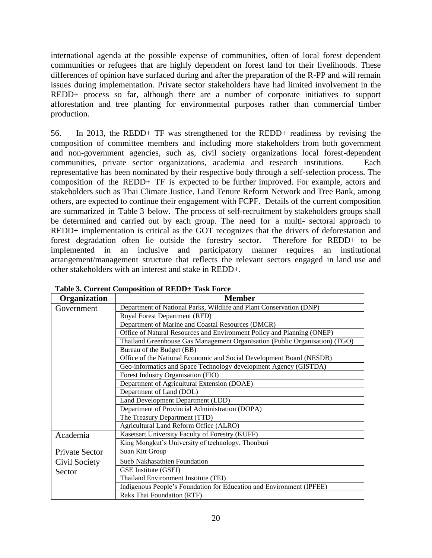international agenda at the possible expense of communities, often of local forest dependent communities or refugees that are highly dependent on forest land for their livelihoods. These differences of opinion have surfaced during and after the preparation of the R-PP and will remain issues during implementation. Private sector stakeholders have had limited involvement in the REDD+ process so far, although there are a number of corporate initiatives to support afforestation and tree planting for environmental purposes rather than commercial timber production.

56. In 2013, the REDD+ TF was strengthened for the REDD+ readiness by revising the composition of committee members and including more stakeholders from both government and non-government agencies, such as, civil society organizations local forest-dependent communities, private sector organizations, academia and research institutions. Each representative has been nominated by their respective body through a self-selection process. The composition of the REDD+ TF is expected to be further improved. For example, actors and stakeholders such as Thai Climate Justice, Land Tenure Reform Network and Tree Bank, among others, are expected to continue their engagement with FCPF. Details of the current composition are summarized in Table 3 below. The process of self-recruitment by stakeholders groups shall be determined and carried out by each group. The need for a multi- sectoral approach to REDD+ implementation is critical as the GOT recognizes that the drivers of deforestation and forest degradation often lie outside the forestry sector. Therefore for REDD+ to be implemented in an inclusive and participatory manner requires an institutional arrangement/management structure that reflects the relevant sectors engaged in land use and other stakeholders with an interest and stake in REDD+.

| Organization          | <b>Member</b>                                                               |  |  |  |  |
|-----------------------|-----------------------------------------------------------------------------|--|--|--|--|
| Government            | Department of National Parks, Wildlife and Plant Conservation (DNP)         |  |  |  |  |
|                       | Royal Forest Department (RFD)                                               |  |  |  |  |
|                       | Department of Marine and Coastal Resources (DMCR)                           |  |  |  |  |
|                       | Office of Natural Resources and Environment Policy and Planning (ONEP)      |  |  |  |  |
|                       | Thailand Greenhouse Gas Management Organisation (Public Organisation) (TGO) |  |  |  |  |
|                       | Bureau of the Budget (BB)                                                   |  |  |  |  |
|                       | Office of the National Economic and Social Development Board (NESDB)        |  |  |  |  |
|                       | Geo-informatics and Space Technology development Agency (GISTDA)            |  |  |  |  |
|                       | Forest Industry Organisation (FIO)                                          |  |  |  |  |
|                       | Department of Agricultural Extension (DOAE)                                 |  |  |  |  |
|                       | Department of Land (DOL)                                                    |  |  |  |  |
|                       | Land Development Department (LDD)                                           |  |  |  |  |
|                       | Department of Provincial Administration (DOPA)                              |  |  |  |  |
|                       | The Treasury Department (TTD)                                               |  |  |  |  |
|                       | Agricultural Land Reform Office (ALRO)                                      |  |  |  |  |
| Academia              | Kasetsart University Faculty of Forestry (KUFF)                             |  |  |  |  |
|                       | King Mongkut's University of technology, Thonburi                           |  |  |  |  |
| <b>Private Sector</b> | Suan Kitt Group                                                             |  |  |  |  |
| Civil Society         | Sueb Nakhasathien Foundation                                                |  |  |  |  |
| Sector                | GSE Institute (GSEI)                                                        |  |  |  |  |
|                       | Thailand Environment Institute (TEI)                                        |  |  |  |  |
|                       | Indigenous People's Foundation for Education and Environment (IPFEE)        |  |  |  |  |
|                       | Raks Thai Foundation (RTF)                                                  |  |  |  |  |

**Table 3. Current Composition of REDD+ Task Force**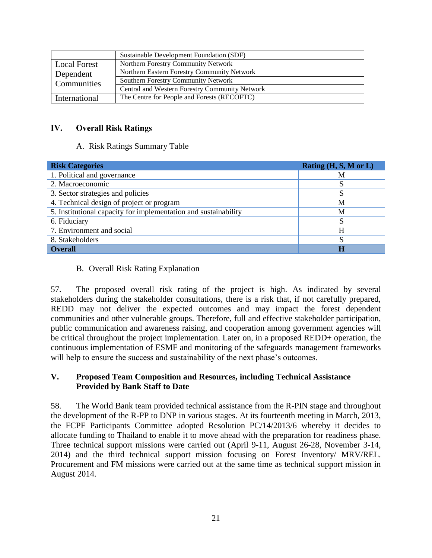|                     | Sustainable Development Foundation (SDF)       |
|---------------------|------------------------------------------------|
| <b>Local Forest</b> | Northern Forestry Community Network            |
| Dependent           | Northern Eastern Forestry Community Network    |
| Communities         | Southern Forestry Community Network            |
|                     | Central and Western Forestry Community Network |
| International       | The Centre for People and Forests (RECOFTC)    |

#### IV. **Overall Risk Ratings**

#### A. Risk Ratings Summary Table

| <b>Risk Categories</b>                                          | Rating $(H, S, M \text{ or } L)$ |
|-----------------------------------------------------------------|----------------------------------|
| 1. Political and governance                                     | М                                |
| 2. Macroeconomic                                                |                                  |
| 3. Sector strategies and policies                               |                                  |
| 4. Technical design of project or program                       | M                                |
| 5. Institutional capacity for implementation and sustainability | M                                |
| 6. Fiduciary                                                    |                                  |
| 7. Environment and social                                       | H                                |
| 8. Stakeholders                                                 |                                  |
| <b>Overall</b>                                                  |                                  |

#### B. Overall Risk Rating Explanation

57. The proposed overall risk rating of the project is high. As indicated by several stakeholders during the stakeholder consultations, there is a risk that, if not carefully prepared, REDD may not deliver the expected outcomes and may impact the forest dependent communities and other vulnerable groups. Therefore, full and effective stakeholder participation, public communication and awareness raising, and cooperation among government agencies will be critical throughout the project implementation. Later on, in a proposed REDD+ operation, the continuous implementation of ESMF and monitoring of the safeguards management frameworks will help to ensure the success and sustainability of the next phase's outcomes.

#### **V. Proposed Team Composition and Resources, including Technical Assistance Provided by Bank Staff to Date**

58. The World Bank team provided technical assistance from the R-PIN stage and throughout the development of the R-PP to DNP in various stages. At its fourteenth meeting in March, 2013, the FCPF Participants Committee adopted Resolution PC/14/2013/6 whereby it decides to allocate funding to Thailand to enable it to move ahead with the preparation for readiness phase. Three technical support missions were carried out (April 9-11, August 26-28, November 3-14, 2014) and the third technical support mission focusing on Forest Inventory/ MRV/REL. Procurement and FM missions were carried out at the same time as technical support mission in August 2014.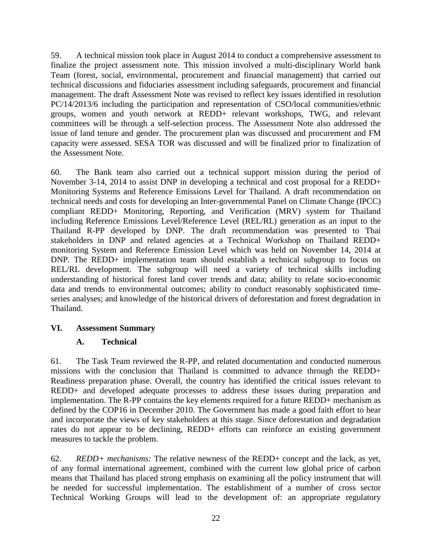59. A technical mission took place in August 2014 to conduct a comprehensive assessment to finalize the project assessment note. This mission involved a multi-disciplinary World bank Team (forest, social, environmental, procurement and financial management) that carried out technical discussions and fiduciaries assessment including safeguards, procurement and financial management. The draft Assessment Note was revised to reflect key issues identified in resolution PC/14/2013/6 including the participation and representation of CSO/local communities/ethnic groups, women and youth network at REDD+ relevant workshops, TWG, and relevant committees will be through a self-selection process. The Assessment Note also addressed the issue of land tenure and gender. The procurement plan was discussed and procurement and FM capacity were assessed. SESA TOR was discussed and will be finalized prior to finalization of the Assessment Note.

60. The Bank team also carried out a technical support mission during the period of November 3-14, 2014 to assist DNP in developing a technical and cost proposal for a REDD+ Monitoring Systems and Reference Emissions Level for Thailand. A draft recommendation on technical needs and costs for developing an Inter-governmental Panel on Climate Change (IPCC) compliant REDD+ Monitoring, Reporting, and Verification (MRV) system for Thailand including Reference Emissions Level/Reference Level (REL/RL) generation as an input to the Thailand R-PP developed by DNP. The draft recommendation was presented to Thai stakeholders in DNP and related agencies at a Technical Workshop on Thailand REDD+ monitoring System and Reference Emission Level which was held on November 14, 2014 at DNP. The REDD+ implementation team should establish a technical subgroup to focus on REL/RL development. The subgroup will need a variety of technical skills including understanding of historical forest land cover trends and data; ability to relate socio-economic data and trends to environmental outcomes; ability to conduct reasonably sophisticated timeseries analyses; and knowledge of the historical drivers of deforestation and forest degradation in Thailand.

## **VI. Assessment Summary**

## **A. Technical**

61. The Task Team reviewed the R-PP, and related documentation and conducted numerous missions with the conclusion that Thailand is committed to advance through the REDD+ Readiness preparation phase. Overall, the country has identified the critical issues relevant to REDD+ and developed adequate processes to address these issues during preparation and implementation. The R-PP contains the key elements required for a future REDD+ mechanism as defined by the COP16 in December 2010. The Government has made a good faith effort to hear and incorporate the views of key stakeholders at this stage. Since deforestation and degradation rates do not appear to be declining, REDD+ efforts can reinforce an existing government measures to tackle the problem.

62. *REDD+ mechanisms:* The relative newness of the REDD+ concept and the lack, as yet, of any formal international agreement, combined with the current low global price of carbon means that Thailand has placed strong emphasis on examining all the policy instrument that will be needed for successful implementation. The establishment of a number of cross sector Technical Working Groups will lead to the development of: an appropriate regulatory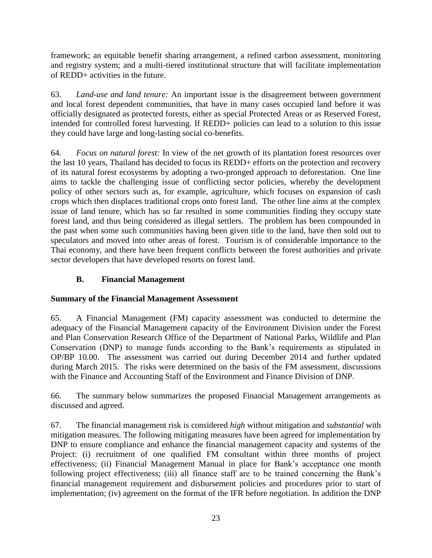framework; an equitable benefit sharing arrangement, a refined carbon assessment, monitoring and registry system; and a multi-tiered institutional structure that will facilitate implementation of REDD+ activities in the future.

63. *Land-use and land tenure:* An important issue is the disagreement between government and local forest dependent communities, that have in many cases occupied land before it was officially designated as protected forests, either as special Protected Areas or as Reserved Forest, intended for controlled forest harvesting. If REDD+ policies can lead to a solution to this issue they could have large and long-lasting social co-benefits.

64. *Focus on natural forest:* In view of the net growth of its plantation forest resources over the last 10 years, Thailand has decided to focus its REDD+ efforts on the protection and recovery of its natural forest ecosystems by adopting a two-pronged approach to deforestation. One line aims to tackle the challenging issue of conflicting sector policies, whereby the development policy of other sectors such as, for example, agriculture, which focuses on expansion of cash crops which then displaces traditional crops onto forest land. The other line aims at the complex issue of land tenure, which has so far resulted in some communities finding they occupy state forest land, and thus being considered as illegal settlers. The problem has been compounded in the past when some such communities having been given title to the land, have then sold out to speculators and moved into other areas of forest. Tourism is of considerable importance to the Thai economy, and there have been frequent conflicts between the forest authorities and private sector developers that have developed resorts on forest land.

# **B. Financial Management**

## **Summary of the Financial Management Assessment**

65. A Financial Management (FM) capacity assessment was conducted to determine the adequacy of the Financial Management capacity of the Environment Division under the Forest and Plan Conservation Research Office of the Department of National Parks, Wildlife and Plan Conservation (DNP) to manage funds according to the Bank's requirements as stipulated in OP/BP 10.00. The assessment was carried out during December 2014 and further updated during March 2015. The risks were determined on the basis of the FM assessment, discussions with the Finance and Accounting Staff of the Environment and Finance Division of DNP.

66. The summary below summarizes the proposed Financial Management arrangements as discussed and agreed.

67. The financial management risk is considered *high* without mitigation and *substantial* with mitigation measures. The following mitigating measures have been agreed for implementation by DNP to ensure compliance and enhance the financial management capacity and systems of the Project: (i) recruitment of one qualified FM consultant within three months of project effectiveness; (ii) Financial Management Manual in place for Bank's acceptance one month following project effectiveness; (iii) all finance staff are to be trained concerning the Bank's financial management requirement and disbursement policies and procedures prior to start of implementation; (iv) agreement on the format of the IFR before negotiation. In addition the DNP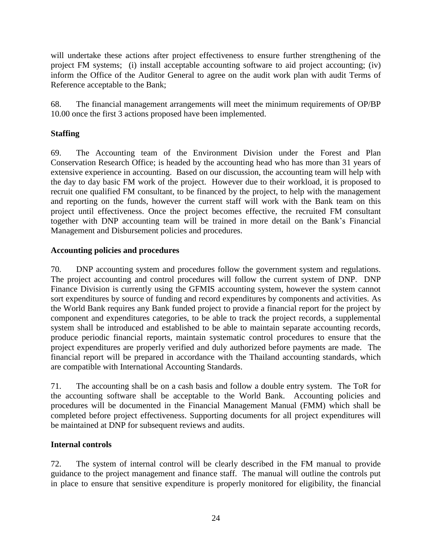will undertake these actions after project effectiveness to ensure further strengthening of the project FM systems; (i) install acceptable accounting software to aid project accounting; (iv) inform the Office of the Auditor General to agree on the audit work plan with audit Terms of Reference acceptable to the Bank;

68. The financial management arrangements will meet the minimum requirements of OP/BP 10.00 once the first 3 actions proposed have been implemented.

## **Staffing**

69. The Accounting team of the Environment Division under the Forest and Plan Conservation Research Office; is headed by the accounting head who has more than 31 years of extensive experience in accounting. Based on our discussion, the accounting team will help with the day to day basic FM work of the project. However due to their workload, it is proposed to recruit one qualified FM consultant, to be financed by the project, to help with the management and reporting on the funds, however the current staff will work with the Bank team on this project until effectiveness. Once the project becomes effective, the recruited FM consultant together with DNP accounting team will be trained in more detail on the Bank's Financial Management and Disbursement policies and procedures.

## **Accounting policies and procedures**

70. DNP accounting system and procedures follow the government system and regulations. The project accounting and control procedures will follow the current system of DNP. DNP Finance Division is currently using the GFMIS accounting system, however the system cannot sort expenditures by source of funding and record expenditures by components and activities. As the World Bank requires any Bank funded project to provide a financial report for the project by component and expenditures categories, to be able to track the project records, a supplemental system shall be introduced and established to be able to maintain separate accounting records, produce periodic financial reports, maintain systematic control procedures to ensure that the project expenditures are properly verified and duly authorized before payments are made. The financial report will be prepared in accordance with the Thailand accounting standards, which are compatible with International Accounting Standards.

71. The accounting shall be on a cash basis and follow a double entry system. The ToR for the accounting software shall be acceptable to the World Bank. Accounting policies and procedures will be documented in the Financial Management Manual (FMM) which shall be completed before project effectiveness. Supporting documents for all project expenditures will be maintained at DNP for subsequent reviews and audits.

## **Internal controls**

72. The system of internal control will be clearly described in the FM manual to provide guidance to the project management and finance staff. The manual will outline the controls put in place to ensure that sensitive expenditure is properly monitored for eligibility, the financial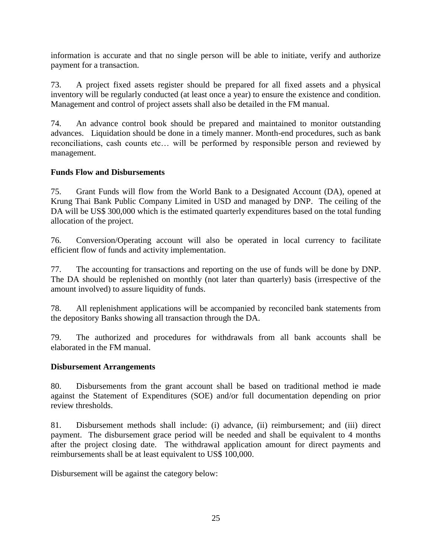information is accurate and that no single person will be able to initiate, verify and authorize payment for a transaction.

73. A project fixed assets register should be prepared for all fixed assets and a physical inventory will be regularly conducted (at least once a year) to ensure the existence and condition. Management and control of project assets shall also be detailed in the FM manual.

74. An advance control book should be prepared and maintained to monitor outstanding advances. Liquidation should be done in a timely manner. Month-end procedures, such as bank reconciliations, cash counts etc… will be performed by responsible person and reviewed by management.

#### **Funds Flow and Disbursements**

75. Grant Funds will flow from the World Bank to a Designated Account (DA), opened at Krung Thai Bank Public Company Limited in USD and managed by DNP. The ceiling of the DA will be US\$ 300,000 which is the estimated quarterly expenditures based on the total funding allocation of the project.

76. Conversion/Operating account will also be operated in local currency to facilitate efficient flow of funds and activity implementation.

77. The accounting for transactions and reporting on the use of funds will be done by DNP. The DA should be replenished on monthly (not later than quarterly) basis (irrespective of the amount involved) to assure liquidity of funds.

78. All replenishment applications will be accompanied by reconciled bank statements from the depository Banks showing all transaction through the DA.

79. The authorized and procedures for withdrawals from all bank accounts shall be elaborated in the FM manual.

#### **Disbursement Arrangements**

80. Disbursements from the grant account shall be based on traditional method ie made against the Statement of Expenditures (SOE) and/or full documentation depending on prior review thresholds.

81. Disbursement methods shall include: (i) advance, (ii) reimbursement; and (iii) direct payment. The disbursement grace period will be needed and shall be equivalent to 4 months after the project closing date. The withdrawal application amount for direct payments and reimbursements shall be at least equivalent to US\$ 100,000.

Disbursement will be against the category below: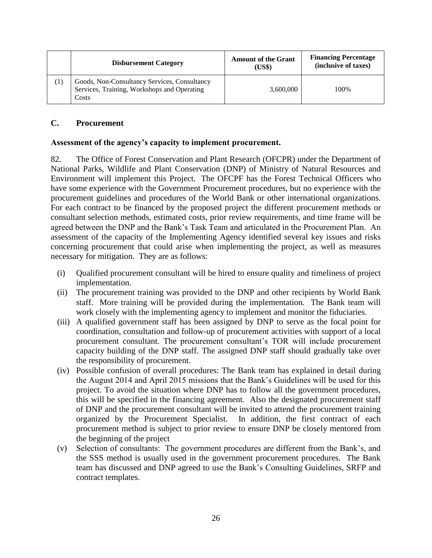|     | <b>Disbursement Category</b>                                                                         | <b>Amount of the Grant</b><br>(US\$) | <b>Financing Percentage</b><br>(inclusive of taxes) |
|-----|------------------------------------------------------------------------------------------------------|--------------------------------------|-----------------------------------------------------|
| (1) | Goods, Non-Consultancy Services, Consultancy<br>Services, Training, Workshops and Operating<br>Costs | 3,600,000                            | 100%                                                |

#### **C. Procurement**

#### **Assessment of the agency's capacity to implement procurement.**

82. The Office of Forest Conservation and Plant Research (OFCPR) under the Department of National Parks, Wildlife and Plant Conservation (DNP) of Ministry of Natural Resources and Environment will implement this Project. The OFCPF has the Forest Technical Officers who have some experience with the Government Procurement procedures, but no experience with the procurement guidelines and procedures of the World Bank or other international organizations. For each contract to be financed by the proposed project the different procurement methods or consultant selection methods, estimated costs, prior review requirements, and time frame will be agreed between the DNP and the Bank's Task Team and articulated in the Procurement Plan. An assessment of the capacity of the Implementing Agency identified several key issues and risks concerning procurement that could arise when implementing the project, as well as measures necessary for mitigation. They are as follows:

- (i) Qualified procurement consultant will be hired to ensure quality and timeliness of project implementation.
- (ii) The procurement training was provided to the DNP and other recipients by World Bank staff. More training will be provided during the implementation. The Bank team will work closely with the implementing agency to implement and monitor the fiduciaries.
- (iii) A qualified government staff has been assigned by DNP to serve as the focal point for coordination, consultation and follow-up of procurement activities with support of a local procurement consultant. The procurement consultant's TOR will include procurement capacity building of the DNP staff. The assigned DNP staff should gradually take over the responsibility of procurement.
- (iv) Possible confusion of overall procedures: The Bank team has explained in detail during the August 2014 and April 2015 missions that the Bank's Guidelines will be used for this project. To avoid the situation where DNP has to follow all the government procedures, this will be specified in the financing agreement. Also the designated procurement staff of DNP and the procurement consultant will be invited to attend the procurement training organized by the Procurement Specialist. In addition, the first contract of each procurement method is subject to prior review to ensure DNP be closely mentored from the beginning of the project
- (v) Selection of consultants: The government procedures are different from the Bank's, and the SSS method is usually used in the government procurement procedures. The Bank team has discussed and DNP agreed to use the Bank's Consulting Guidelines, SRFP and contract templates.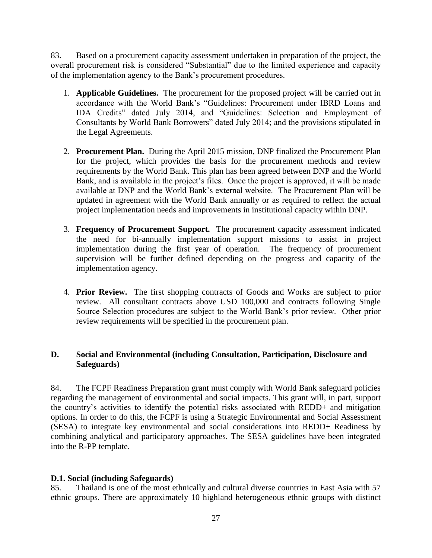83. Based on a procurement capacity assessment undertaken in preparation of the project, the overall procurement risk is considered "Substantial" due to the limited experience and capacity of the implementation agency to the Bank's procurement procedures.

- 1. **Applicable Guidelines.** The procurement for the proposed project will be carried out in accordance with the World Bank's "Guidelines: Procurement under IBRD Loans and IDA Credits" dated July 2014, and "Guidelines: Selection and Employment of Consultants by World Bank Borrowers" dated July 2014; and the provisions stipulated in the Legal Agreements.
- 2. **Procurement Plan.** During the April 2015 mission, DNP finalized the Procurement Plan for the project, which provides the basis for the procurement methods and review requirements by the World Bank. This plan has been agreed between DNP and the World Bank, and is available in the project's files. Once the project is approved, it will be made available at DNP and the World Bank's external website. The Procurement Plan will be updated in agreement with the World Bank annually or as required to reflect the actual project implementation needs and improvements in institutional capacity within DNP.
- 3. **Frequency of Procurement Support.** The procurement capacity assessment indicated the need for bi-annually implementation support missions to assist in project implementation during the first year of operation. The frequency of procurement supervision will be further defined depending on the progress and capacity of the implementation agency.
- 4. **Prior Review.** The first shopping contracts of Goods and Works are subject to prior review. All consultant contracts above USD 100,000 and contracts following Single Source Selection procedures are subject to the World Bank's prior review. Other prior review requirements will be specified in the procurement plan.

## **D. Social and Environmental (including Consultation, Participation, Disclosure and Safeguards)**

84. The FCPF Readiness Preparation grant must comply with World Bank safeguard policies regarding the management of environmental and social impacts. This grant will, in part, support the country's activities to identify the potential risks associated with REDD+ and mitigation options. In order to do this, the FCPF is using a Strategic Environmental and Social Assessment (SESA) to integrate key environmental and social considerations into REDD+ Readiness by combining analytical and participatory approaches. The SESA guidelines have been integrated into the R-PP template.

## **D.1. Social (including Safeguards)**

85. Thailand is one of the most ethnically and cultural diverse countries in East Asia with 57 ethnic groups. There are approximately 10 highland heterogeneous ethnic groups with distinct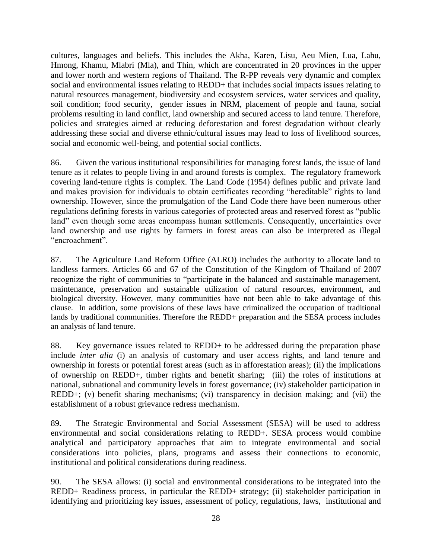cultures, languages and beliefs. This includes the Akha, Karen, Lisu, Aeu Mien, Lua, Lahu, Hmong, Khamu, Mlabri (Mla), and Thin, which are concentrated in 20 provinces in the upper and lower north and western regions of Thailand. The R-PP reveals very dynamic and complex social and environmental issues relating to REDD+ that includes social impacts issues relating to natural resources management, biodiversity and ecosystem services, water services and quality, soil condition; food security, gender issues in NRM, placement of people and fauna, social problems resulting in land conflict, land ownership and secured access to land tenure. Therefore, policies and strategies aimed at reducing deforestation and forest degradation without clearly addressing these social and diverse ethnic/cultural issues may lead to loss of livelihood sources, social and economic well-being, and potential social conflicts.

86. Given the various institutional responsibilities for managing forest lands, the issue of land tenure as it relates to people living in and around forests is complex. The regulatory framework covering land-tenure rights is complex. The Land Code (1954) defines public and private land and makes provision for individuals to obtain certificates recording "hereditable" rights to land ownership. However, since the promulgation of the Land Code there have been numerous other regulations defining forests in various categories of protected areas and reserved forest as "public land" even though some areas encompass human settlements. Consequently, uncertainties over land ownership and use rights by farmers in forest areas can also be interpreted as illegal "encroachment".

87. The Agriculture Land Reform Office (ALRO) includes the authority to allocate land to landless farmers. Articles 66 and 67 of the Constitution of the Kingdom of Thailand of 2007 recognize the right of communities to "participate in the balanced and sustainable management, maintenance, preservation and sustainable utilization of natural resources, environment, and biological diversity. However, many communities have not been able to take advantage of this clause. In addition, some provisions of these laws have criminalized the occupation of traditional lands by traditional communities. Therefore the REDD+ preparation and the SESA process includes an analysis of land tenure.

88. Key governance issues related to REDD+ to be addressed during the preparation phase include *inter alia* (i) an analysis of customary and user access rights, and land tenure and ownership in forests or potential forest areas (such as in afforestation areas); (ii) the implications of ownership on REDD+, timber rights and benefit sharing; (iii) the roles of institutions at national, subnational and community levels in forest governance; (iv) stakeholder participation in REDD+; (v) benefit sharing mechanisms; (vi) transparency in decision making; and (vii) the establishment of a robust grievance redress mechanism.

89. The Strategic Environmental and Social Assessment (SESA) will be used to address environmental and social considerations relating to REDD+. SESA process would combine analytical and participatory approaches that aim to integrate environmental and social considerations into policies, plans, programs and assess their connections to economic, institutional and political considerations during readiness.

90. The SESA allows: (i) social and environmental considerations to be integrated into the REDD+ Readiness process, in particular the REDD+ strategy; (ii) stakeholder participation in identifying and prioritizing key issues, assessment of policy, regulations, laws, institutional and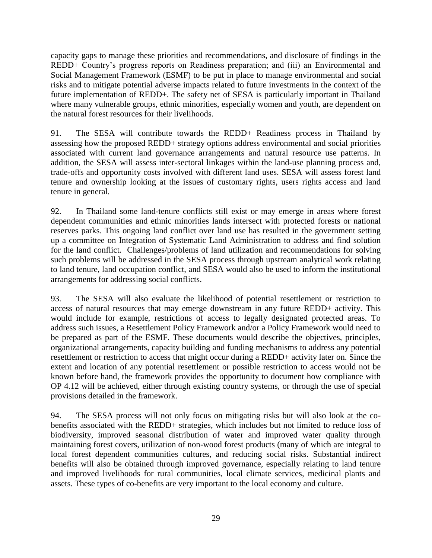capacity gaps to manage these priorities and recommendations, and disclosure of findings in the REDD+ Country's progress reports on Readiness preparation; and (iii) an Environmental and Social Management Framework (ESMF) to be put in place to manage environmental and social risks and to mitigate potential adverse impacts related to future investments in the context of the future implementation of REDD+. The safety net of SESA is particularly important in Thailand where many vulnerable groups, ethnic minorities, especially women and youth, are dependent on the natural forest resources for their livelihoods.

91. The SESA will contribute towards the REDD+ Readiness process in Thailand by assessing how the proposed REDD+ strategy options address environmental and social priorities associated with current land governance arrangements and natural resource use patterns. In addition, the SESA will assess inter-sectoral linkages within the land-use planning process and, trade-offs and opportunity costs involved with different land uses. SESA will assess forest land tenure and ownership looking at the issues of customary rights, users rights access and land tenure in general.

92. In Thailand some land-tenure conflicts still exist or may emerge in areas where forest dependent communities and ethnic minorities lands intersect with protected forests or national reserves parks. This ongoing land conflict over land use has resulted in the government setting up a committee on Integration of Systematic Land Administration to address and find solution for the land conflict. Challenges/problems of land utilization and recommendations for solving such problems will be addressed in the SESA process through upstream analytical work relating to land tenure, land occupation conflict, and SESA would also be used to inform the institutional arrangements for addressing social conflicts.

93. The SESA will also evaluate the likelihood of potential resettlement or restriction to access of natural resources that may emerge downstream in any future REDD+ activity. This would include for example, restrictions of access to legally designated protected areas. To address such issues, a Resettlement Policy Framework and/or a Policy Framework would need to be prepared as part of the ESMF. These documents would describe the objectives, principles, organizational arrangements, capacity building and funding mechanisms to address any potential resettlement or restriction to access that might occur during a REDD+ activity later on. Since the extent and location of any potential resettlement or possible restriction to access would not be known before hand, the framework provides the opportunity to document how compliance with OP 4.12 will be achieved, either through existing country systems, or through the use of special provisions detailed in the framework.

94. The SESA process will not only focus on mitigating risks but will also look at the cobenefits associated with the REDD+ strategies, which includes but not limited to reduce loss of biodiversity, improved seasonal distribution of water and improved water quality through maintaining forest covers, utilization of non-wood forest products (many of which are integral to local forest dependent communities cultures, and reducing social risks. Substantial indirect benefits will also be obtained through improved governance, especially relating to land tenure and improved livelihoods for rural communities, local climate services, medicinal plants and assets. These types of co-benefits are very important to the local economy and culture.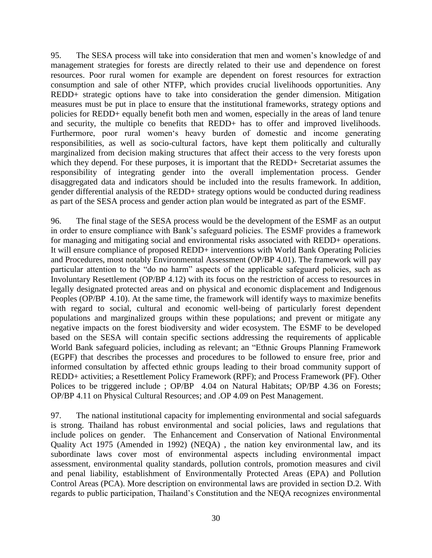95. The SESA process will take into consideration that men and women's knowledge of and management strategies for forests are directly related to their use and dependence on forest resources. Poor rural women for example are dependent on forest resources for extraction consumption and sale of other NTFP, which provides crucial livelihoods opportunities. Any REDD+ strategic options have to take into consideration the gender dimension. Mitigation measures must be put in place to ensure that the institutional frameworks, strategy options and policies for REDD+ equally benefit both men and women, especially in the areas of land tenure and security, the multiple co benefits that REDD+ has to offer and improved livelihoods. Furthermore, poor rural women's heavy burden of domestic and income generating responsibilities, as well as socio-cultural factors, have kept them politically and culturally marginalized from decision making structures that affect their access to the very forests upon which they depend. For these purposes, it is important that the REDD+ Secretariat assumes the responsibility of integrating gender into the overall implementation process. Gender disaggregated data and indicators should be included into the results framework. In addition, gender differential analysis of the REDD+ strategy options would be conducted during readiness as part of the SESA process and gender action plan would be integrated as part of the ESMF.

96. The final stage of the SESA process would be the development of the ESMF as an output in order to ensure compliance with Bank's safeguard policies. The ESMF provides a framework for managing and mitigating social and environmental risks associated with REDD+ operations. It will ensure compliance of proposed REDD+ interventions with World Bank Operating Policies and Procedures, most notably Environmental Assessment (OP/BP 4.01). The framework will pay particular attention to the "do no harm" aspects of the applicable safeguard policies, such as Involuntary Resettlement (OP/BP 4.12) with its focus on the restriction of access to resources in legally designated protected areas and on physical and economic displacement and Indigenous Peoples (OP/BP 4.10). At the same time, the framework will identify ways to maximize benefits with regard to social, cultural and economic well-being of particularly forest dependent populations and marginalized groups within these populations; and prevent or mitigate any negative impacts on the forest biodiversity and wider ecosystem. The ESMF to be developed based on the SESA will contain specific sections addressing the requirements of applicable World Bank safeguard policies, including as relevant; an "Ethnic Groups Planning Framework (EGPF) that describes the processes and procedures to be followed to ensure free, prior and informed consultation by affected ethnic groups leading to their broad community support of REDD+ activities; a Resettlement Policy Framework (RPF); and Process Framework (PF). Other Polices to be triggered include ; OP/BP 4.04 on Natural Habitats; OP/BP 4.36 on Forests; OP/BP 4.11 on Physical Cultural Resources; and .OP 4.09 on Pest Management.

97. The national institutional capacity for implementing environmental and social safeguards is strong. Thailand has robust environmental and social policies, laws and regulations that include polices on gender. The Enhancement and Conservation of National Environmental Quality Act 1975 (Amended in 1992) (NEQA) , the nation key environmental law, and its subordinate laws cover most of environmental aspects including environmental impact assessment, environmental quality standards, pollution controls, promotion measures and civil and penal liability, establishment of Environmentally Protected Areas (EPA) and Pollution Control Areas (PCA). More description on environmental laws are provided in section D.2. With regards to public participation, Thailand's Constitution and the NEQA recognizes environmental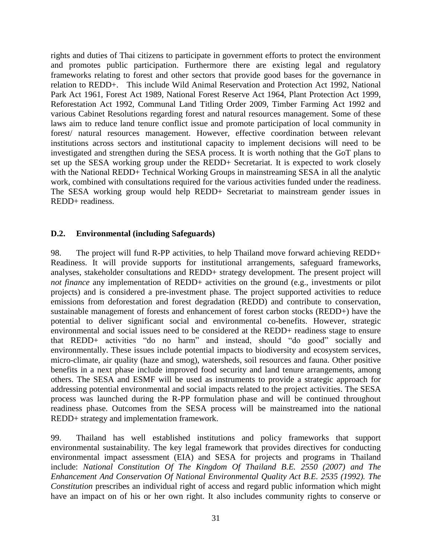rights and duties of Thai citizens to participate in government efforts to protect the environment and promotes public participation. Furthermore there are existing legal and regulatory frameworks relating to forest and other sectors that provide good bases for the governance in relation to REDD+. This include Wild Animal Reservation and Protection Act 1992, National Park Act 1961, Forest Act 1989, National Forest Reserve Act 1964, Plant Protection Act 1999, Reforestation Act 1992, Communal Land Titling Order 2009, Timber Farming Act 1992 and various Cabinet Resolutions regarding forest and natural resources management. Some of these laws aim to reduce land tenure conflict issue and promote participation of local community in forest/ natural resources management. However, effective coordination between relevant institutions across sectors and institutional capacity to implement decisions will need to be investigated and strengthen during the SESA process. It is worth nothing that the GoT plans to set up the SESA working group under the REDD+ Secretariat. It is expected to work closely with the National REDD+ Technical Working Groups in mainstreaming SESA in all the analytic work, combined with consultations required for the various activities funded under the readiness. The SESA working group would help REDD+ Secretariat to mainstream gender issues in REDD+ readiness.

#### **D.2. Environmental (including Safeguards)**

98. The project will fund R-PP activities, to help Thailand move forward achieving REDD+ Readiness. It will provide supports for institutional arrangements, safeguard frameworks, analyses, stakeholder consultations and REDD+ strategy development. The present project will *not finance* any implementation of REDD+ activities on the ground (e.g., investments or pilot projects) and is considered a pre-investment phase. The project supported activities to reduce emissions from deforestation and forest degradation (REDD) and contribute to conservation, sustainable management of forests and enhancement of forest carbon stocks (REDD+) have the potential to deliver significant social and environmental co-benefits. However, strategic environmental and social issues need to be considered at the REDD+ readiness stage to ensure that REDD+ activities "do no harm" and instead, should "do good" socially and environmentally. These issues include potential impacts to biodiversity and ecosystem services, micro-climate, air quality (haze and smog), watersheds, soil resources and fauna. Other positive benefits in a next phase include improved food security and land tenure arrangements, among others. The SESA and ESMF will be used as instruments to provide a strategic approach for addressing potential environmental and social impacts related to the project activities. The SESA process was launched during the R-PP formulation phase and will be continued throughout readiness phase. Outcomes from the SESA process will be mainstreamed into the national REDD+ strategy and implementation framework.

99. Thailand has well established institutions and policy frameworks that support environmental sustainability. The key legal framework that provides directives for conducting environmental impact assessment (EIA) and SESA for projects and programs in Thailand include: *National Constitution Of The Kingdom Of Thailand B.E. 2550 (2007) and The Enhancement And Conservation Of National Environmental Quality Act B.E. 2535 (1992). The Constitution* prescribes an individual right of access and regard public information which might have an impact on of his or her own right. It also includes community rights to conserve or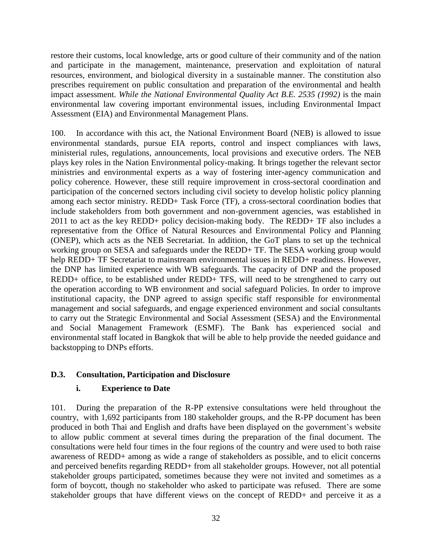restore their customs, local knowledge, arts or good culture of their community and of the nation and participate in the management, maintenance, preservation and exploitation of natural resources, environment, and biological diversity in a sustainable manner. The constitution also prescribes requirement on public consultation and preparation of the environmental and health impact assessment. *While the National Environmental Quality Act B.E. 2535 (1992)* is the main environmental law covering important environmental issues, including Environmental Impact Assessment (EIA) and Environmental Management Plans.

100. In accordance with this act, the National Environment Board (NEB) is allowed to issue environmental standards, pursue EIA reports, control and inspect compliances with laws, ministerial rules, regulations, announcements, local provisions and executive orders. The NEB plays key roles in the Nation Environmental policy-making. It brings together the relevant sector ministries and environmental experts as a way of fostering inter-agency communication and policy coherence. However, these still require improvement in cross-sectoral coordination and participation of the concerned sectors including civil society to develop holistic policy planning among each sector ministry. REDD+ Task Force (TF), a cross-sectoral coordination bodies that include stakeholders from both government and non-government agencies, was established in 2011 to act as the key REDD+ policy decision-making body. The REDD+ TF also includes a representative from the Office of Natural Resources and Environmental Policy and Planning (ONEP), which acts as the NEB Secretariat. In addition, the GoT plans to set up the technical working group on SESA and safeguards under the REDD+ TF. The SESA working group would help REDD+ TF Secretariat to mainstream environmental issues in REDD+ readiness. However, the DNP has limited experience with WB safeguards. The capacity of DNP and the proposed REDD+ office, to be established under REDD+ TFS, will need to be strengthened to carry out the operation according to WB environment and social safeguard Policies. In order to improve institutional capacity, the DNP agreed to assign specific staff responsible for environmental management and social safeguards, and engage experienced environment and social consultants to carry out the Strategic Environmental and Social Assessment (SESA) and the Environmental and Social Management Framework (ESMF). The Bank has experienced social and environmental staff located in Bangkok that will be able to help provide the needed guidance and backstopping to DNPs efforts.

## **D.3. Consultation, Participation and Disclosure**

#### **i. Experience to Date**

101. During the preparation of the R-PP extensive consultations were held throughout the country, with 1,692 participants from 180 stakeholder groups, and the R-PP document has been produced in both Thai and English and drafts have been displayed on the government's website to allow public comment at several times during the preparation of the final document. The consultations were held four times in the four regions of the country and were used to both raise awareness of REDD+ among as wide a range of stakeholders as possible, and to elicit concerns and perceived benefits regarding REDD+ from all stakeholder groups. However, not all potential stakeholder groups participated, sometimes because they were not invited and sometimes as a form of boycott, though no stakeholder who asked to participate was refused. There are some stakeholder groups that have different views on the concept of REDD+ and perceive it as a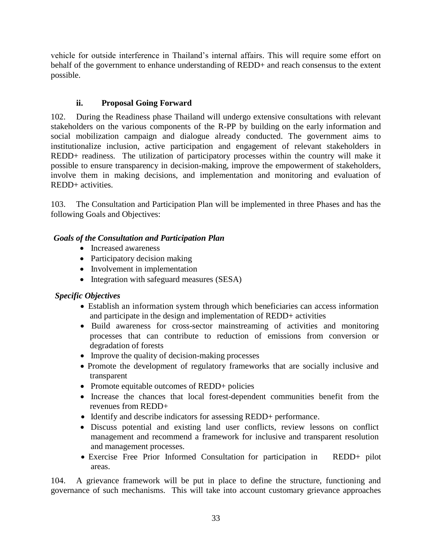vehicle for outside interference in Thailand's internal affairs. This will require some effort on behalf of the government to enhance understanding of REDD+ and reach consensus to the extent possible.

# **ii. Proposal Going Forward**

102. During the Readiness phase Thailand will undergo extensive consultations with relevant stakeholders on the various components of the R-PP by building on the early information and social mobilization campaign and dialogue already conducted. The government aims to institutionalize inclusion, active participation and engagement of relevant stakeholders in REDD+ readiness. The utilization of participatory processes within the country will make it possible to ensure transparency in decision-making, improve the empowerment of stakeholders, involve them in making decisions, and implementation and monitoring and evaluation of REDD+ activities.

103. The Consultation and Participation Plan will be implemented in three Phases and has the following Goals and Objectives:

# *Goals of the Consultation and Participation Plan*

- Increased awareness
- Participatory decision making
- Involvement in implementation
- Integration with safeguard measures (SESA)

# *Specific Objectives*

- Establish an information system through which beneficiaries can access information and participate in the design and implementation of REDD+ activities
- Build awareness for cross-sector mainstreaming of activities and monitoring processes that can contribute to reduction of emissions from conversion or degradation of forests
- Improve the quality of decision-making processes
- Promote the development of regulatory frameworks that are socially inclusive and transparent
- Promote equitable outcomes of REDD+ policies
- Increase the chances that local forest-dependent communities benefit from the revenues from REDD+
- Identify and describe indicators for assessing REDD+ performance.
- Discuss potential and existing land user conflicts, review lessons on conflict management and recommend a framework for inclusive and transparent resolution and management processes.
- Exercise Free Prior Informed Consultation for participation in REDD+ pilot areas.

104. A grievance framework will be put in place to define the structure, functioning and governance of such mechanisms. This will take into account customary grievance approaches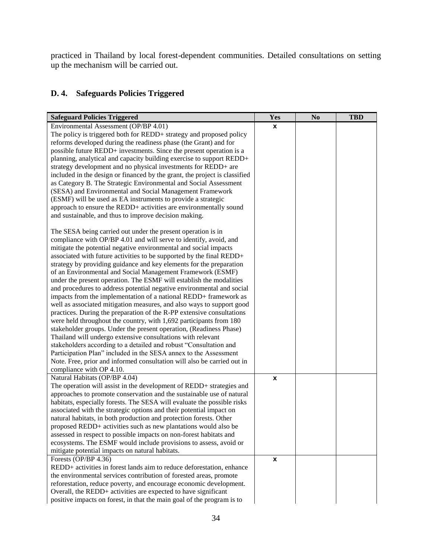practiced in Thailand by local forest-dependent communities. Detailed consultations on setting up the mechanism will be carried out.

| <b>Safeguard Policies Triggered</b>                                        | Yes | N <sub>0</sub> | <b>TBD</b> |
|----------------------------------------------------------------------------|-----|----------------|------------|
| Environmental Assessment (OP/BP 4.01)                                      | X   |                |            |
| The policy is triggered both for REDD+ strategy and proposed policy        |     |                |            |
| reforms developed during the readiness phase (the Grant) and for           |     |                |            |
| possible future REDD+ investments. Since the present operation is a        |     |                |            |
| planning, analytical and capacity building exercise to support REDD+       |     |                |            |
| strategy development and no physical investments for REDD+ are             |     |                |            |
| included in the design or financed by the grant, the project is classified |     |                |            |
| as Category B. The Strategic Environmental and Social Assessment           |     |                |            |
| (SESA) and Environmental and Social Management Framework                   |     |                |            |
| (ESMF) will be used as EA instruments to provide a strategic               |     |                |            |
| approach to ensure the REDD+ activities are environmentally sound          |     |                |            |
| and sustainable, and thus to improve decision making.                      |     |                |            |
| The SESA being carried out under the present operation is in               |     |                |            |
| compliance with OP/BP 4.01 and will serve to identify, avoid, and          |     |                |            |
| mitigate the potential negative environmental and social impacts           |     |                |            |
| associated with future activities to be supported by the final REDD+       |     |                |            |
| strategy by providing guidance and key elements for the preparation        |     |                |            |
| of an Environmental and Social Management Framework (ESMF)                 |     |                |            |
| under the present operation. The ESMF will establish the modalities        |     |                |            |
| and procedures to address potential negative environmental and social      |     |                |            |
| impacts from the implementation of a national REDD+ framework as           |     |                |            |
| well as associated mitigation measures, and also ways to support good      |     |                |            |
| practices. During the preparation of the R-PP extensive consultations      |     |                |            |
| were held throughout the country, with 1,692 participants from 180         |     |                |            |
| stakeholder groups. Under the present operation, (Readiness Phase)         |     |                |            |
| Thailand will undergo extensive consultations with relevant                |     |                |            |
| stakeholders according to a detailed and robust "Consultation and          |     |                |            |
| Participation Plan" included in the SESA annex to the Assessment           |     |                |            |
| Note. Free, prior and informed consultation will also be carried out in    |     |                |            |
| compliance with OP 4.10.                                                   |     |                |            |
| Natural Habitats (OP/BP 4.04)                                              | X   |                |            |
| The operation will assist in the development of REDD+ strategies and       |     |                |            |
| approaches to promote conservation and the sustainable use of natural      |     |                |            |
| habitats, especially forests. The SESA will evaluate the possible risks    |     |                |            |
| associated with the strategic options and their potential impact on        |     |                |            |
| natural habitats, in both production and protection forests. Other         |     |                |            |
| proposed REDD+ activities such as new plantations would also be            |     |                |            |
| assessed in respect to possible impacts on non-forest habitats and         |     |                |            |
| ecosystems. The ESMF would include provisions to assess, avoid or          |     |                |            |
| mitigate potential impacts on natural habitats.                            |     |                |            |
| Forests (OP/BP 4.36)                                                       | X   |                |            |
| REDD+ activities in forest lands aim to reduce deforestation, enhance      |     |                |            |
| the environmental services contribution of forested areas, promote         |     |                |            |
| reforestation, reduce poverty, and encourage economic development.         |     |                |            |
| Overall, the REDD+ activities are expected to have significant             |     |                |            |
| positive impacts on forest, in that the main goal of the program is to     |     |                |            |

# **D. 4. Safeguards Policies Triggered**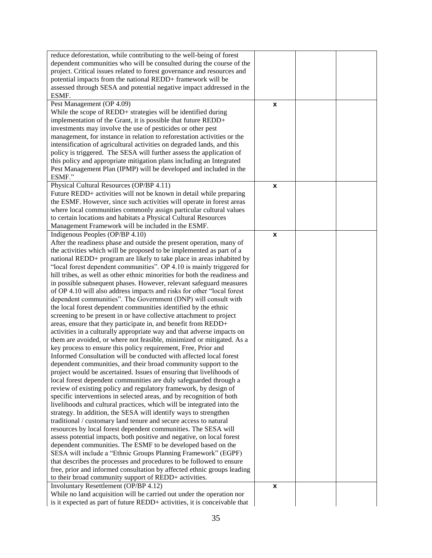| reduce deforestation, while contributing to the well-being of forest                                                                  |                    |  |
|---------------------------------------------------------------------------------------------------------------------------------------|--------------------|--|
| dependent communities who will be consulted during the course of the                                                                  |                    |  |
| project. Critical issues related to forest governance and resources and                                                               |                    |  |
| potential impacts from the national REDD+ framework will be                                                                           |                    |  |
| assessed through SESA and potential negative impact addressed in the                                                                  |                    |  |
| ESMF.                                                                                                                                 |                    |  |
| Pest Management (OP 4.09)                                                                                                             | X                  |  |
| While the scope of REDD+ strategies will be identified during                                                                         |                    |  |
| implementation of the Grant, it is possible that future REDD+                                                                         |                    |  |
| investments may involve the use of pesticides or other pest                                                                           |                    |  |
| management, for instance in relation to reforestation activities or the                                                               |                    |  |
| intensification of agricultural activities on degraded lands, and this                                                                |                    |  |
| policy is triggered. The SESA will further assess the application of                                                                  |                    |  |
| this policy and appropriate mitigation plans including an Integrated                                                                  |                    |  |
| Pest Management Plan (IPMP) will be developed and included in the                                                                     |                    |  |
| ESMF."                                                                                                                                |                    |  |
| Physical Cultural Resources (OP/BP 4.11)                                                                                              | X                  |  |
| Future REDD+ activities will not be known in detail while preparing                                                                   |                    |  |
| the ESMF. However, since such activities will operate in forest areas                                                                 |                    |  |
| where local communities commonly assign particular cultural values                                                                    |                    |  |
| to certain locations and habitats a Physical Cultural Resources                                                                       |                    |  |
| Management Framework will be included in the ESMF.                                                                                    |                    |  |
| Indigenous Peoples (OP/BP 4.10)                                                                                                       | $\pmb{\mathsf{x}}$ |  |
| After the readiness phase and outside the present operation, many of                                                                  |                    |  |
| the activities which will be proposed to be implemented as part of a                                                                  |                    |  |
| national REDD+ program are likely to take place in areas inhabited by                                                                 |                    |  |
| "local forest dependent communities". OP 4.10 is mainly triggered for                                                                 |                    |  |
| hill tribes, as well as other ethnic minorities for both the readiness and                                                            |                    |  |
| in possible subsequent phases. However, relevant safeguard measures                                                                   |                    |  |
| of OP 4.10 will also address impacts and risks for other "local forest                                                                |                    |  |
| dependent communities". The Government (DNP) will consult with                                                                        |                    |  |
| the local forest dependent communities identified by the ethnic                                                                       |                    |  |
| screening to be present in or have collective attachment to project                                                                   |                    |  |
| areas, ensure that they participate in, and benefit from REDD+                                                                        |                    |  |
| activities in a culturally appropriate way and that adverse impacts on                                                                |                    |  |
| them are avoided, or where not feasible, minimized or mitigated. As a                                                                 |                    |  |
| key process to ensure this policy requirement, Free, Prior and                                                                        |                    |  |
| Informed Consultation will be conducted with affected local forest                                                                    |                    |  |
| dependent communities, and their broad community support to the                                                                       |                    |  |
| project would be ascertained. Issues of ensuring that livelihoods of                                                                  |                    |  |
| local forest dependent communities are duly safeguarded through a                                                                     |                    |  |
| review of existing policy and regulatory framework, by design of                                                                      |                    |  |
| specific interventions in selected areas, and by recognition of both                                                                  |                    |  |
| livelihoods and cultural practices, which will be integrated into the                                                                 |                    |  |
| strategy. In addition, the SESA will identify ways to strengthen                                                                      |                    |  |
| traditional / customary land tenure and secure access to natural                                                                      |                    |  |
| resources by local forest dependent communities. The SESA will                                                                        |                    |  |
| assess potential impacts, both positive and negative, on local forest                                                                 |                    |  |
| dependent communities. The ESMF to be developed based on the                                                                          |                    |  |
|                                                                                                                                       |                    |  |
| SESA will include a "Ethnic Groups Planning Framework" (EGPF)<br>that describes the processes and procedures to be followed to ensure |                    |  |
|                                                                                                                                       |                    |  |
| free, prior and informed consultation by affected ethnic groups leading<br>to their broad community support of REDD+ activities.      |                    |  |
|                                                                                                                                       |                    |  |
| Involuntary Resettlement (OP/BP 4.12)                                                                                                 | $\pmb{\mathsf{x}}$ |  |
| While no land acquisition will be carried out under the operation nor                                                                 |                    |  |
| is it expected as part of future REDD+ activities, it is conceivable that                                                             |                    |  |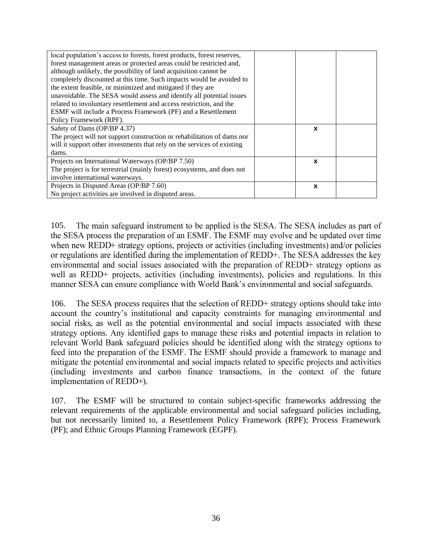| local population's access to forests, forest products, forest reserves, |              |  |
|-------------------------------------------------------------------------|--------------|--|
| forest management areas or protected areas could be restricted and,     |              |  |
| although unlikely, the possibility of land acquisition cannot be        |              |  |
| completely discounted at this time. Such impacts would be avoided to    |              |  |
| the extent feasible, or minimized and mitigated if they are             |              |  |
| unavoidable. The SESA would assess and identify all potential issues    |              |  |
| related to involuntary resettlement and access restriction, and the     |              |  |
| ESMF will include a Process Framework (PF) and a Resettlement           |              |  |
| Policy Framework (RPF).                                                 |              |  |
| Safety of Dams (OP/BP 4.37)                                             | $\mathbf{x}$ |  |
| The project will not support construction or rehabilitation of dams nor |              |  |
| will it support other investments that rely on the services of existing |              |  |
| dams.                                                                   |              |  |
| Projects on International Waterways (OP/BP 7.50)                        | X            |  |
| The project is for terrestrial (mainly forest) ecosystems, and does not |              |  |
| involve international waterways.                                        |              |  |
| Projects in Disputed Areas (OP/BP 7.60)                                 | X            |  |
| No project activities are involved in disputed areas.                   |              |  |

105. The main safeguard instrument to be applied is the SESA. The SESA includes as part of the SESA process the preparation of an ESMF. The ESMF may evolve and be updated over time when new REDD+ strategy options, projects or activities (including investments) and/or policies or regulations are identified during the implementation of REDD+. The SESA addresses the key environmental and social issues associated with the preparation of REDD+ strategy options as well as REDD+ projects, activities (including investments), policies and regulations. In this manner SESA can ensure compliance with World Bank's environmental and social safeguards.

106. The SESA process requires that the selection of REDD+ strategy options should take into account the country's institutional and capacity constraints for managing environmental and social risks, as well as the potential environmental and social impacts associated with these strategy options. Any identified gaps to manage these risks and potential impacts in relation to relevant World Bank safeguard policies should be identified along with the strategy options to feed into the preparation of the ESMF. The ESMF should provide a framework to manage and mitigate the potential environmental and social impacts related to specific projects and activities (including investments and carbon finance transactions, in the context of the future implementation of REDD+).

107. The ESMF will be structured to contain subject-specific frameworks addressing the relevant requirements of the applicable environmental and social safeguard policies including, but not necessarily limited to, a Resettlement Policy Framework (RPF); Process Framework (PF); and Ethnic Groups Planning Framework (EGPF).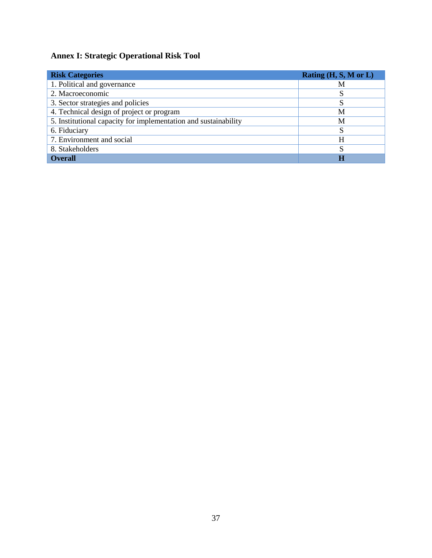# **Annex I: Strategic Operational Risk Tool**

| <b>Risk Categories</b>                                          | Rating $(H, S, M \text{ or } L)$ |
|-----------------------------------------------------------------|----------------------------------|
| 1. Political and governance                                     | М                                |
| 2. Macroeconomic                                                |                                  |
| 3. Sector strategies and policies                               |                                  |
| 4. Technical design of project or program                       | M                                |
| 5. Institutional capacity for implementation and sustainability | M                                |
| 6. Fiduciary                                                    |                                  |
| 7. Environment and social                                       | H                                |
| 8. Stakeholders                                                 | C                                |
| <b>Overall</b>                                                  |                                  |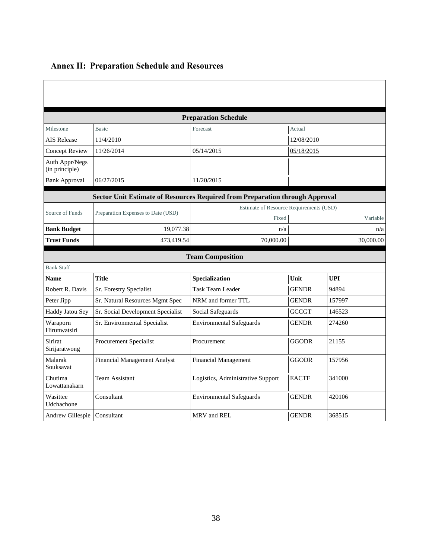| <b>Preparation Schedule</b>      |                                                                              |                                   |                                         |            |  |  |  |
|----------------------------------|------------------------------------------------------------------------------|-----------------------------------|-----------------------------------------|------------|--|--|--|
| Milestone                        | <b>Basic</b>                                                                 | Forecast                          | Actual                                  |            |  |  |  |
| <b>AIS Release</b>               | 11/4/2010                                                                    |                                   | 12/08/2010                              |            |  |  |  |
| <b>Concept Review</b>            | 11/26/2014                                                                   | 05/14/2015                        | 05/18/2015                              |            |  |  |  |
| Auth Appr/Negs<br>(in principle) |                                                                              |                                   |                                         |            |  |  |  |
| <b>Bank Approval</b>             | 06/27/2015                                                                   | 11/20/2015                        |                                         |            |  |  |  |
|                                  | Sector Unit Estimate of Resources Required from Preparation through Approval |                                   |                                         |            |  |  |  |
| Source of Funds                  |                                                                              |                                   | Estimate of Resource Requirements (USD) |            |  |  |  |
|                                  | Preparation Expenses to Date (USD)                                           | Fixed                             |                                         | Variable   |  |  |  |
| <b>Bank Budget</b>               | 19,077.38                                                                    | n/a                               |                                         | n/a        |  |  |  |
| <b>Trust Funds</b>               | 473,419.54                                                                   | 70,000.00                         |                                         | 30,000.00  |  |  |  |
|                                  |                                                                              | <b>Team Composition</b>           |                                         |            |  |  |  |
| <b>Bank Staff</b>                |                                                                              |                                   |                                         |            |  |  |  |
| <b>Name</b>                      | <b>Title</b>                                                                 | Specialization                    | Unit                                    | <b>UPI</b> |  |  |  |
| Robert R. Davis                  | Sr. Forestry Specialist                                                      | Task Team Leader                  | <b>GENDR</b>                            | 94894      |  |  |  |
| Peter Jipp                       | Sr. Natural Resources Mgmt Spec                                              | NRM and former TTL                | <b>GENDR</b>                            | 157997     |  |  |  |
| Haddy Jatou Sey                  | Sr. Social Development Specialist                                            | Social Safeguards                 | <b>GCCGT</b>                            | 146523     |  |  |  |
| Waraporn<br>Hirunwatsiri         | Sr. Environmental Specialist                                                 | <b>Environmental Safeguards</b>   | <b>GENDR</b>                            | 274260     |  |  |  |
| Sirirat<br>Sirijaratwong         | <b>Procurement Specialist</b>                                                | Procurement                       | <b>GGODR</b>                            | 21155      |  |  |  |
| Malarak<br>Souksavat             | Financial Management Analyst                                                 | <b>Financial Management</b>       | <b>GGODR</b>                            | 157956     |  |  |  |
| Chutima<br>Lowattanakarn         | <b>Team Assistant</b>                                                        | Logistics, Administrative Support | <b>EACTF</b>                            | 341000     |  |  |  |
| Wasittee<br>Udchachone           | Consultant                                                                   | <b>Environmental Safeguards</b>   | <b>GENDR</b>                            | 420106     |  |  |  |
| Andrew Gillespie                 | Consultant                                                                   | MRV and REL                       | <b>GENDR</b>                            | 368515     |  |  |  |

# **Annex II: Preparation Schedule and Resources**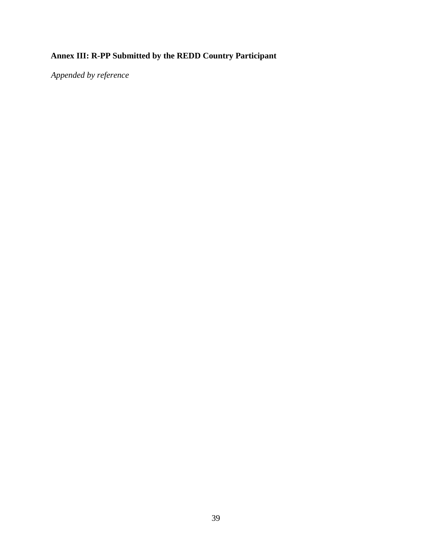# **Annex III: R-PP Submitted by the REDD Country Participant**

*Appended by reference*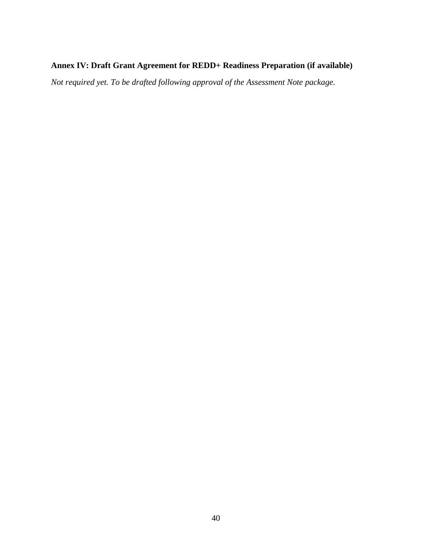## **Annex IV: Draft Grant Agreement for REDD+ Readiness Preparation (if available)**

*Not required yet. To be drafted following approval of the Assessment Note package.*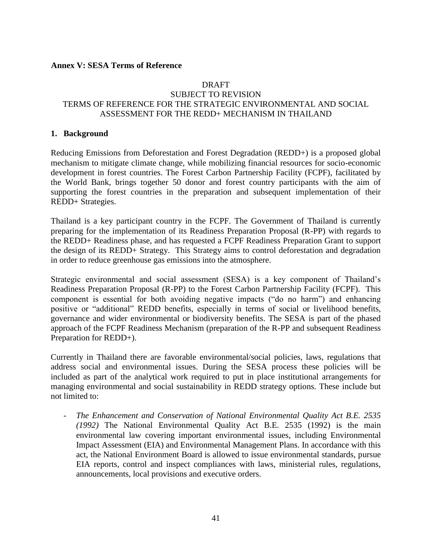#### **Annex V: SESA Terms of Reference**

#### DRAFT SUBJECT TO REVISION TERMS OF REFERENCE FOR THE STRATEGIC ENVIRONMENTAL AND SOCIAL ASSESSMENT FOR THE REDD+ MECHANISM IN THAILAND

#### **1. Background**

Reducing Emissions from Deforestation and Forest Degradation (REDD+) is a proposed global mechanism to mitigate climate change, while mobilizing financial resources for socio-economic development in forest countries. The Forest Carbon Partnership Facility (FCPF), facilitated by the World Bank, brings together 50 donor and forest country participants with the aim of supporting the forest countries in the preparation and subsequent implementation of their REDD+ Strategies.

Thailand is a key participant country in the FCPF. The Government of Thailand is currently preparing for the implementation of its Readiness Preparation Proposal (R-PP) with regards to the REDD+ Readiness phase, and has requested a FCPF Readiness Preparation Grant to support the design of its REDD+ Strategy. This Strategy aims to control deforestation and degradation in order to reduce greenhouse gas emissions into the atmosphere.

Strategic environmental and social assessment (SESA) is a key component of Thailand's Readiness Preparation Proposal (R-PP) to the Forest Carbon Partnership Facility (FCPF). This component is essential for both avoiding negative impacts ("do no harm") and enhancing positive or "additional" REDD benefits, especially in terms of social or livelihood benefits, governance and wider environmental or biodiversity benefits. The SESA is part of the phased approach of the FCPF Readiness Mechanism (preparation of the R-PP and subsequent Readiness Preparation for REDD+).

Currently in Thailand there are favorable environmental/social policies, laws, regulations that address social and environmental issues. During the SESA process these policies will be included as part of the analytical work required to put in place institutional arrangements for managing environmental and social sustainability in REDD strategy options. These include but not limited to:

The Enhancement and Conservation of National Environmental Quality Act B.E. 2535 *(1992)* The National Environmental Quality Act B.E. 2535 (1992) is the main environmental law covering important environmental issues, including Environmental Impact Assessment (EIA) and Environmental Management Plans. In accordance with this act, the National Environment Board is allowed to issue environmental standards, pursue EIA reports, control and inspect compliances with laws, ministerial rules, regulations, announcements, local provisions and executive orders.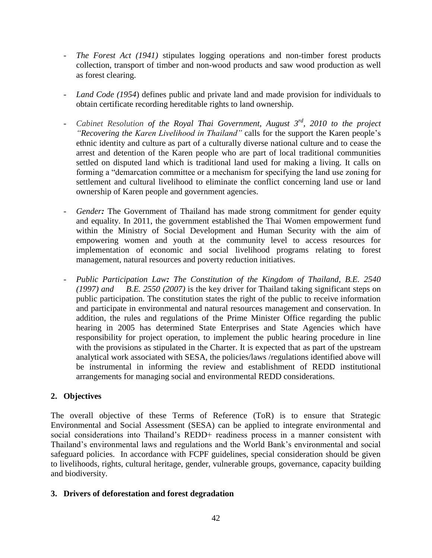- *The Forest Act (1941)* stipulates logging operations and non-timber forest products collection, transport of timber and non-wood products and saw wood production as well as forest clearing.
- *Land Code (1954*) defines public and private land and made provision for individuals to obtain certificate recording hereditable rights to land ownership*.*
- *Cabinet Resolution of the Royal Thai Government, August 3rd, 2010 to the project "Recovering the Karen Livelihood in Thailand"* calls for the support the Karen people's ethnic identity and culture as part of a culturally diverse national culture and to cease the arrest and detention of the Karen people who are part of local traditional communities settled on disputed land which is traditional land used for making a living. It calls on forming a "demarcation committee or a mechanism for specifying the land use zoning for settlement and cultural livelihood to eliminate the conflict concerning land use or land ownership of Karen people and government agencies.
- *Gender:* The Government of Thailand has made strong commitment for gender equity and equality. In 2011, the government established the Thai Women empowerment fund within the Ministry of Social Development and Human Security with the aim of empowering women and youth at the community level to access resources for implementation of economic and social livelihood programs relating to forest management, natural resources and poverty reduction initiatives.
- *Public Participation Law: The Constitution of the Kingdom of Thailand, B.E. 2540 (1997) and B.E. 2550 (2007)* is the key driver for Thailand taking significant steps on public participation. The constitution states the right of the public to receive information and participate in environmental and natural resources management and conservation. In addition, the rules and regulations of the Prime Minister Office regarding the public hearing in 2005 has determined State Enterprises and State Agencies which have responsibility for project operation, to implement the public hearing procedure in line with the provisions as stipulated in the Charter. It is expected that as part of the upstream analytical work associated with SESA, the policies/laws /regulations identified above will be instrumental in informing the review and establishment of REDD institutional arrangements for managing social and environmental REDD considerations.

## **2. Objectives**

The overall objective of these Terms of Reference (ToR) is to ensure that Strategic Environmental and Social Assessment (SESA) can be applied to integrate environmental and social considerations into Thailand's REDD+ readiness process in a manner consistent with Thailand's environmental laws and regulations and the World Bank's environmental and social safeguard policies. In accordance with FCPF guidelines, special consideration should be given to livelihoods, rights, cultural heritage, gender, vulnerable groups, governance, capacity building and biodiversity.

#### **3. Drivers of deforestation and forest degradation**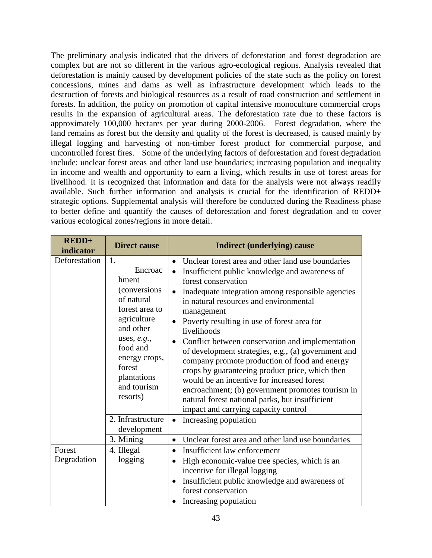The preliminary analysis indicated that the drivers of deforestation and forest degradation are complex but are not so different in the various agro-ecological regions. Analysis revealed that deforestation is mainly caused by development policies of the state such as the policy on forest concessions, mines and dams as well as infrastructure development which leads to the destruction of forests and biological resources as a result of road construction and settlement in forests. In addition, the policy on promotion of capital intensive monoculture commercial crops results in the expansion of agricultural areas. The deforestation rate due to these factors is approximately 100,000 hectares per year during 2000-2006. Forest degradation, where the land remains as forest but the density and quality of the forest is decreased, is caused mainly by illegal logging and harvesting of non-timber forest product for commercial purpose, and uncontrolled forest fires. Some of the underlying factors of deforestation and forest degradation include: unclear forest areas and other land use boundaries; increasing population and inequality in income and wealth and opportunity to earn a living, which results in use of forest areas for livelihood. It is recognized that information and data for the analysis were not always readily available. Such further information and analysis is crucial for the identification of REDD+ strategic options. Supplemental analysis will therefore be conducted during the Readiness phase to better define and quantify the causes of deforestation and forest degradation and to cover various ecological zones/regions in more detail.

| $REDD+$<br>indicator  | <b>Direct cause</b>                                                                                                                                                                                           | <b>Indirect (underlying) cause</b>                                                                                                                                                                                                                                                                                                                                                                                                                                                                                                                                                                                                                                                                                                                                                 |
|-----------------------|---------------------------------------------------------------------------------------------------------------------------------------------------------------------------------------------------------------|------------------------------------------------------------------------------------------------------------------------------------------------------------------------------------------------------------------------------------------------------------------------------------------------------------------------------------------------------------------------------------------------------------------------------------------------------------------------------------------------------------------------------------------------------------------------------------------------------------------------------------------------------------------------------------------------------------------------------------------------------------------------------------|
| Deforestation         | 1.<br>Encroac<br>hment<br><i>(conversions</i> )<br>of natural<br>forest area to<br>agriculture<br>and other<br>uses, $e.g.,$<br>food and<br>energy crops,<br>forest<br>plantations<br>and tourism<br>resorts) | Unclear forest area and other land use boundaries<br>$\bullet$<br>Insufficient public knowledge and awareness of<br>$\bullet$<br>forest conservation<br>Inadequate integration among responsible agencies<br>$\bullet$<br>in natural resources and environmental<br>management<br>Poverty resulting in use of forest area for<br>$\bullet$<br>livelihoods<br>Conflict between conservation and implementation<br>$\bullet$<br>of development strategies, e.g., (a) government and<br>company promote production of food and energy<br>crops by guaranteeing product price, which then<br>would be an incentive for increased forest<br>encroachment; (b) government promotes tourism in<br>natural forest national parks, but insufficient<br>impact and carrying capacity control |
|                       | 2. Infrastructure<br>development                                                                                                                                                                              | Increasing population                                                                                                                                                                                                                                                                                                                                                                                                                                                                                                                                                                                                                                                                                                                                                              |
|                       | 3. Mining                                                                                                                                                                                                     | Unclear forest area and other land use boundaries<br>$\bullet$                                                                                                                                                                                                                                                                                                                                                                                                                                                                                                                                                                                                                                                                                                                     |
| Forest<br>Degradation | 4. Illegal<br>logging                                                                                                                                                                                         | Insufficient law enforcement<br>$\bullet$<br>High economic-value tree species, which is an<br>$\bullet$<br>incentive for illegal logging<br>Insufficient public knowledge and awareness of<br>$\bullet$<br>forest conservation<br>Increasing population                                                                                                                                                                                                                                                                                                                                                                                                                                                                                                                            |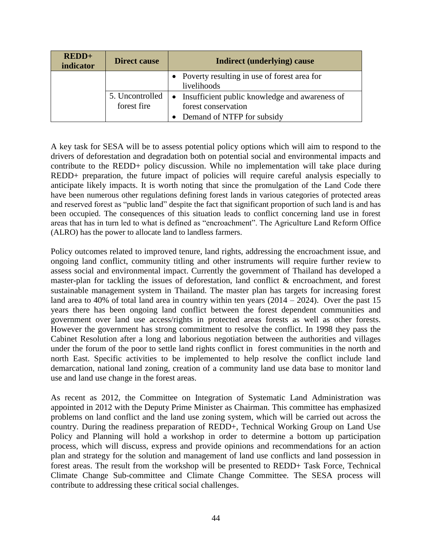| $REDD+$<br>indicator | <b>Direct cause</b>            | Indirect (underlying) cause                                                                           |
|----------------------|--------------------------------|-------------------------------------------------------------------------------------------------------|
|                      |                                | • Poverty resulting in use of forest area for<br>livelihoods                                          |
|                      | 5. Uncontrolled<br>forest fire | • Insufficient public knowledge and awareness of<br>forest conservation<br>Demand of NTFP for subsidy |

A key task for SESA will be to assess potential policy options which will aim to respond to the drivers of deforestation and degradation both on potential social and environmental impacts and contribute to the REDD+ policy discussion. While no implementation will take place during REDD+ preparation, the future impact of policies will require careful analysis especially to anticipate likely impacts. It is worth noting that since the promulgation of the Land Code there have been numerous other regulations defining forest lands in various categories of protected areas and reserved forest as "public land" despite the fact that significant proportion of such land is and has been occupied. The consequences of this situation leads to conflict concerning land use in forest areas that has in turn led to what is defined as "encroachment". The Agriculture Land Reform Office (ALRO) has the power to allocate land to landless farmers.

Policy outcomes related to improved tenure, land rights, addressing the encroachment issue, and ongoing land conflict, community titling and other instruments will require further review to assess social and environmental impact. Currently the government of Thailand has developed a master-plan for tackling the issues of deforestation, land conflict & encroachment, and forest sustainable management system in Thailand. The master plan has targets for increasing forest land area to 40% of total land area in country within ten years  $(2014 - 2024)$ . Over the past 15 years there has been ongoing land conflict between the forest dependent communities and government over land use access/rights in protected areas forests as well as other forests. However the government has strong commitment to resolve the conflict. In 1998 they pass the Cabinet Resolution after a long and laborious negotiation between the authorities and villages under the forum of the poor to settle land rights conflict in forest communities in the north and north East. Specific activities to be implemented to help resolve the conflict include land demarcation, national land zoning, creation of a community land use data base to monitor land use and land use change in the forest areas.

As recent as 2012, the Committee on Integration of Systematic Land Administration was appointed in 2012 with the Deputy Prime Minister as Chairman. This committee has emphasized problems on land conflict and the land use zoning system, which will be carried out across the country. During the readiness preparation of REDD+, Technical Working Group on Land Use Policy and Planning will hold a workshop in order to determine a bottom up participation process, which will discuss, express and provide opinions and recommendations for an action plan and strategy for the solution and management of land use conflicts and land possession in forest areas. The result from the workshop will be presented to REDD+ Task Force, Technical Climate Change Sub-committee and Climate Change Committee. The SESA process will contribute to addressing these critical social challenges.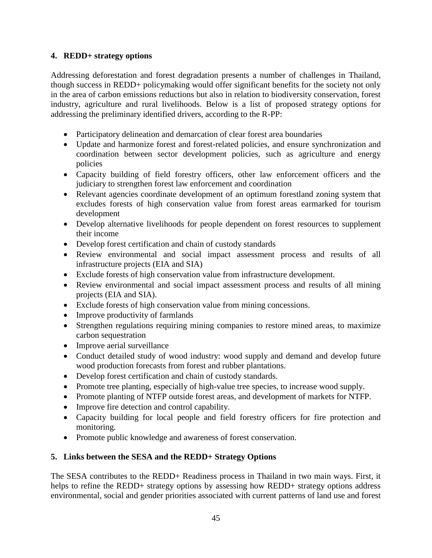## **4. REDD+ strategy options**

Addressing deforestation and forest degradation presents a number of challenges in Thailand, though success in REDD+ policymaking would offer significant benefits for the society not only in the area of carbon emissions reductions but also in relation to biodiversity conservation, forest industry, agriculture and rural livelihoods. Below is a list of proposed strategy options for addressing the preliminary identified drivers, according to the R-PP:

- Participatory delineation and demarcation of clear forest area boundaries
- Update and harmonize forest and forest-related policies, and ensure synchronization and coordination between sector development policies, such as agriculture and energy policies
- Capacity building of field forestry officers, other law enforcement officers and the judiciary to strengthen forest law enforcement and coordination
- Relevant agencies coordinate development of an optimum forestland zoning system that excludes forests of high conservation value from forest areas earmarked for tourism development
- Develop alternative livelihoods for people dependent on forest resources to supplement their income
- Develop forest certification and chain of custody standards
- Review environmental and social impact assessment process and results of all infrastructure projects (EIA and SIA)
- Exclude forests of high conservation value from infrastructure development.
- Review environmental and social impact assessment process and results of all mining projects (EIA and SIA).
- Exclude forests of high conservation value from mining concessions.
- Improve productivity of farmlands
- Strengthen regulations requiring mining companies to restore mined areas, to maximize carbon sequestration
- Improve aerial surveillance
- Conduct detailed study of wood industry: wood supply and demand and develop future wood production forecasts from forest and rubber plantations.
- Develop forest certification and chain of custody standards.
- Promote tree planting, especially of high-value tree species, to increase wood supply.
- Promote planting of NTFP outside forest areas, and development of markets for NTFP.
- Improve fire detection and control capability.
- Capacity building for local people and field forestry officers for fire protection and monitoring.
- Promote public knowledge and awareness of forest conservation.

## **5. Links between the SESA and the REDD+ Strategy Options**

The SESA contributes to the REDD+ Readiness process in Thailand in two main ways. First, it helps to refine the REDD+ strategy options by assessing how REDD+ strategy options address environmental, social and gender priorities associated with current patterns of land use and forest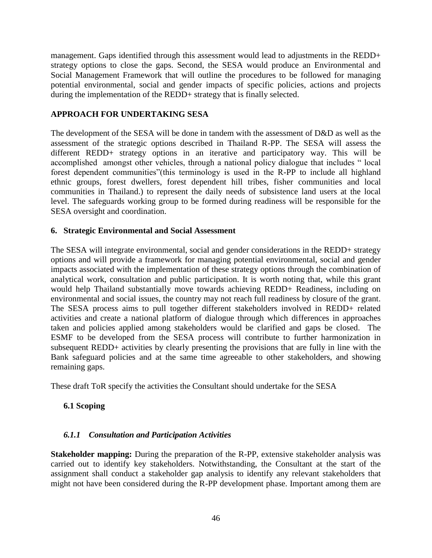management. Gaps identified through this assessment would lead to adjustments in the REDD+ strategy options to close the gaps. Second, the SESA would produce an Environmental and Social Management Framework that will outline the procedures to be followed for managing potential environmental, social and gender impacts of specific policies, actions and projects during the implementation of the REDD+ strategy that is finally selected.

#### **APPROACH FOR UNDERTAKING SESA**

The development of the SESA will be done in tandem with the assessment of D&D as well as the assessment of the strategic options described in Thailand R-PP. The SESA will assess the different REDD+ strategy options in an iterative and participatory way. This will be accomplished amongst other vehicles, through a national policy dialogue that includes " local forest dependent communities"(this terminology is used in the R-PP to include all highland ethnic groups, forest dwellers, forest dependent hill tribes, fisher communities and local communities in Thailand.) to represent the daily needs of subsistence land users at the local level. The safeguards working group to be formed during readiness will be responsible for the SESA oversight and coordination.

#### **6. Strategic Environmental and Social Assessment**

The SESA will integrate environmental, social and gender considerations in the REDD+ strategy options and will provide a framework for managing potential environmental, social and gender impacts associated with the implementation of these strategy options through the combination of analytical work, consultation and public participation. It is worth noting that, while this grant would help Thailand substantially move towards achieving REDD+ Readiness, including on environmental and social issues, the country may not reach full readiness by closure of the grant. The SESA process aims to pull together different stakeholders involved in REDD+ related activities and create a national platform of dialogue through which differences in approaches taken and policies applied among stakeholders would be clarified and gaps be closed. The ESMF to be developed from the SESA process will contribute to further harmonization in subsequent REDD+ activities by clearly presenting the provisions that are fully in line with the Bank safeguard policies and at the same time agreeable to other stakeholders, and showing remaining gaps.

These draft ToR specify the activities the Consultant should undertake for the SESA

#### **6.1 Scoping**

#### *6.1.1 Consultation and Participation Activities*

**Stakeholder mapping:** During the preparation of the R-PP, extensive stakeholder analysis was carried out to identify key stakeholders. Notwithstanding, the Consultant at the start of the assignment shall conduct a stakeholder gap analysis to identify any relevant stakeholders that might not have been considered during the R-PP development phase. Important among them are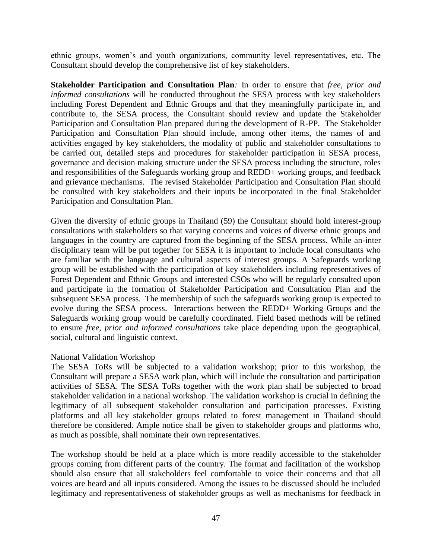ethnic groups, women's and youth organizations, community level representatives, etc. The Consultant should develop the comprehensive list of key stakeholders.

**Stakeholder Participation and Consultation Plan***:* In order to ensure that *free, prior and informed consultations* will be conducted throughout the SESA process with key stakeholders including Forest Dependent and Ethnic Groups and that they meaningfully participate in, and contribute to, the SESA process, the Consultant should review and update the Stakeholder Participation and Consultation Plan prepared during the development of R-PP. The Stakeholder Participation and Consultation Plan should include, among other items, the names of and activities engaged by key stakeholders, the modality of public and stakeholder consultations to be carried out, detailed steps and procedures for stakeholder participation in SESA process, governance and decision making structure under the SESA process including the structure, roles and responsibilities of the Safeguards working group and REDD+ working groups, and feedback and grievance mechanisms. The revised Stakeholder Participation and Consultation Plan should be consulted with key stakeholders and their inputs be incorporated in the final Stakeholder Participation and Consultation Plan.

Given the diversity of ethnic groups in Thailand (59) the Consultant should hold interest-group consultations with stakeholders so that varying concerns and voices of diverse ethnic groups and languages in the country are captured from the beginning of the SESA process. While an-inter disciplinary team will be put together for SESA it is important to include local consultants who are familiar with the language and cultural aspects of interest groups. A Safeguards working group will be established with the participation of key stakeholders including representatives of Forest Dependent and Ethnic Groups and interested CSOs who will be regularly consulted upon and participate in the formation of Stakeholder Participation and Consultation Plan and the subsequent SESA process. The membership of such the safeguards working group is expected to evolve during the SESA process. Interactions between the REDD+ Working Groups and the Safeguards working group would be carefully coordinated. Field based methods will be refined to ensure *free, prior and informed consultations* take place depending upon the geographical, social, cultural and linguistic context.

#### National Validation Workshop

The SESA ToRs will be subjected to a validation workshop; prior to this workshop, the Consultant will prepare a SESA work plan, which will include the consultation and participation activities of SESA. The SESA ToRs together with the work plan shall be subjected to broad stakeholder validation in a national workshop. The validation workshop is crucial in defining the legitimacy of all subsequent stakeholder consultation and participation processes. Existing platforms and all key stakeholder groups related to forest management in Thailand should therefore be considered. Ample notice shall be given to stakeholder groups and platforms who, as much as possible, shall nominate their own representatives.

The workshop should be held at a place which is more readily accessible to the stakeholder groups coming from different parts of the country. The format and facilitation of the workshop should also ensure that all stakeholders feel comfortable to voice their concerns and that all voices are heard and all inputs considered. Among the issues to be discussed should be included legitimacy and representativeness of stakeholder groups as well as mechanisms for feedback in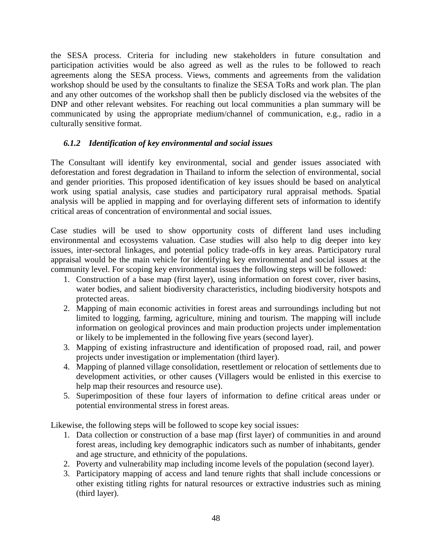the SESA process. Criteria for including new stakeholders in future consultation and participation activities would be also agreed as well as the rules to be followed to reach agreements along the SESA process. Views, comments and agreements from the validation workshop should be used by the consultants to finalize the SESA ToRs and work plan. The plan and any other outcomes of the workshop shall then be publicly disclosed via the websites of the DNP and other relevant websites. For reaching out local communities a plan summary will be communicated by using the appropriate medium/channel of communication, e.g., radio in a culturally sensitive format.

## *6.1.2 Identification of key environmental and social issues*

The Consultant will identify key environmental, social and gender issues associated with deforestation and forest degradation in Thailand to inform the selection of environmental, social and gender priorities. This proposed identification of key issues should be based on analytical work using spatial analysis, case studies and participatory rural appraisal methods. Spatial analysis will be applied in mapping and for overlaying different sets of information to identify critical areas of concentration of environmental and social issues.

Case studies will be used to show opportunity costs of different land uses including environmental and ecosystems valuation. Case studies will also help to dig deeper into key issues, inter-sectoral linkages, and potential policy trade-offs in key areas. Participatory rural appraisal would be the main vehicle for identifying key environmental and social issues at the community level. For scoping key environmental issues the following steps will be followed:

- 1. Construction of a base map (first layer), using information on forest cover, river basins, water bodies, and salient biodiversity characteristics, including biodiversity hotspots and protected areas.
- 2. Mapping of main economic activities in forest areas and surroundings including but not limited to logging, farming, agriculture, mining and tourism. The mapping will include information on geological provinces and main production projects under implementation or likely to be implemented in the following five years (second layer).
- 3. Mapping of existing infrastructure and identification of proposed road, rail, and power projects under investigation or implementation (third layer).
- 4. Mapping of planned village consolidation, resettlement or relocation of settlements due to development activities, or other causes (Villagers would be enlisted in this exercise to help map their resources and resource use).
- 5. Superimposition of these four layers of information to define critical areas under or potential environmental stress in forest areas.

Likewise, the following steps will be followed to scope key social issues:

- 1. Data collection or construction of a base map (first layer) of communities in and around forest areas, including key demographic indicators such as number of inhabitants, gender and age structure, and ethnicity of the populations.
- 2. Poverty and vulnerability map including income levels of the population (second layer).
- 3. Participatory mapping of access and land tenure rights that shall include concessions or other existing titling rights for natural resources or extractive industries such as mining (third layer).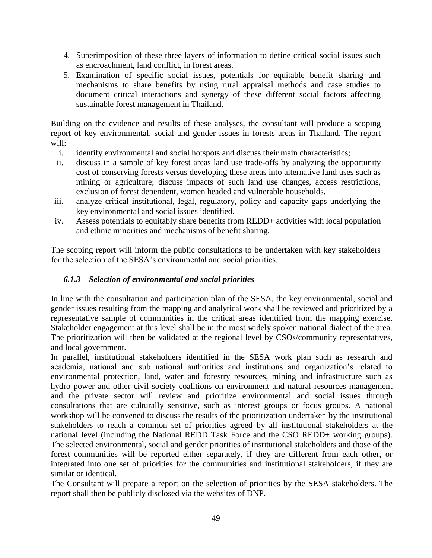- 4. Superimposition of these three layers of information to define critical social issues such as encroachment, land conflict, in forest areas.
- 5. Examination of specific social issues, potentials for equitable benefit sharing and mechanisms to share benefits by using rural appraisal methods and case studies to document critical interactions and synergy of these different social factors affecting sustainable forest management in Thailand.

Building on the evidence and results of these analyses, the consultant will produce a scoping report of key environmental, social and gender issues in forests areas in Thailand. The report will:

- i. identify environmental and social hotspots and discuss their main characteristics;
- ii. discuss in a sample of key forest areas land use trade-offs by analyzing the opportunity cost of conserving forests versus developing these areas into alternative land uses such as mining or agriculture; discuss impacts of such land use changes, access restrictions, exclusion of forest dependent, women headed and vulnerable households.
- iii. analyze critical institutional, legal, regulatory, policy and capacity gaps underlying the key environmental and social issues identified.
- iv. Assess potentials to equitably share benefits from REDD+ activities with local population and ethnic minorities and mechanisms of benefit sharing.

The scoping report will inform the public consultations to be undertaken with key stakeholders for the selection of the SESA's environmental and social priorities.

#### *6.1.3 Selection of environmental and social priorities*

In line with the consultation and participation plan of the SESA, the key environmental, social and gender issues resulting from the mapping and analytical work shall be reviewed and prioritized by a representative sample of communities in the critical areas identified from the mapping exercise. Stakeholder engagement at this level shall be in the most widely spoken national dialect of the area. The prioritization will then be validated at the regional level by CSOs/community representatives, and local government.

In parallel, institutional stakeholders identified in the SESA work plan such as research and academia, national and sub national authorities and institutions and organization's related to environmental protection, land, water and forestry resources, mining and infrastructure such as hydro power and other civil society coalitions on environment and natural resources management and the private sector will review and prioritize environmental and social issues through consultations that are culturally sensitive, such as interest groups or focus groups. A national workshop will be convened to discuss the results of the prioritization undertaken by the institutional stakeholders to reach a common set of priorities agreed by all institutional stakeholders at the national level (including the National REDD Task Force and the CSO REDD+ working groups). The selected environmental, social and gender priorities of institutional stakeholders and those of the forest communities will be reported either separately, if they are different from each other, or integrated into one set of priorities for the communities and institutional stakeholders, if they are similar or identical.

The Consultant will prepare a report on the selection of priorities by the SESA stakeholders. The report shall then be publicly disclosed via the websites of DNP.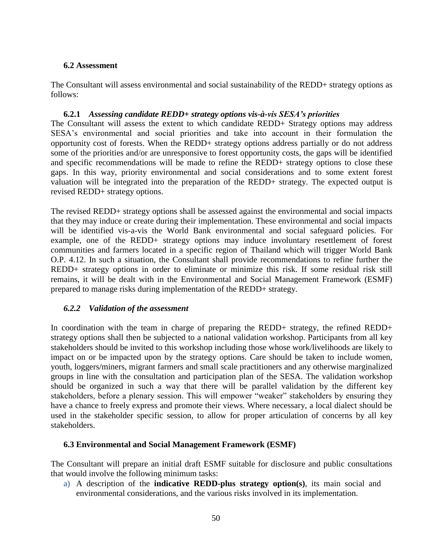#### **6.2 Assessment**

The Consultant will assess environmental and social sustainability of the REDD+ strategy options as follows:

#### **6.2.1** *Assessing candidate REDD+ strategy options vis-à-vis SESA's priorities*

The Consultant will assess the extent to which candidate REDD+ Strategy options may address SESA's environmental and social priorities and take into account in their formulation the opportunity cost of forests. When the REDD+ strategy options address partially or do not address some of the priorities and/or are unresponsive to forest opportunity costs, the gaps will be identified and specific recommendations will be made to refine the REDD+ strategy options to close these gaps. In this way, priority environmental and social considerations and to some extent forest valuation will be integrated into the preparation of the REDD+ strategy. The expected output is revised REDD+ strategy options.

The revised REDD+ strategy options shall be assessed against the environmental and social impacts that they may induce or create during their implementation. These environmental and social impacts will be identified vis-a-vis the World Bank environmental and social safeguard policies. For example, one of the REDD+ strategy options may induce involuntary resettlement of forest communities and farmers located in a specific region of Thailand which will trigger World Bank O.P. 4.12. In such a situation, the Consultant shall provide recommendations to refine further the REDD+ strategy options in order to eliminate or minimize this risk. If some residual risk still remains, it will be dealt with in the Environmental and Social Management Framework (ESMF) prepared to manage risks during implementation of the REDD+ strategy.

## *6.2.2 Validation of the assessment*

In coordination with the team in charge of preparing the REDD+ strategy, the refined REDD+ strategy options shall then be subjected to a national validation workshop. Participants from all key stakeholders should be invited to this workshop including those whose work/livelihoods are likely to impact on or be impacted upon by the strategy options. Care should be taken to include women, youth, loggers/miners, migrant farmers and small scale practitioners and any otherwise marginalized groups in line with the consultation and participation plan of the SESA. The validation workshop should be organized in such a way that there will be parallel validation by the different key stakeholders, before a plenary session. This will empower "weaker" stakeholders by ensuring they have a chance to freely express and promote their views. Where necessary, a local dialect should be used in the stakeholder specific session, to allow for proper articulation of concerns by all key stakeholders.

#### **6.3 Environmental and Social Management Framework (ESMF)**

The Consultant will prepare an initial draft ESMF suitable for disclosure and public consultations that would involve the following minimum tasks:

a) A description of the **indicative REDD-plus strategy option(s)**, its main social and environmental considerations, and the various risks involved in its implementation.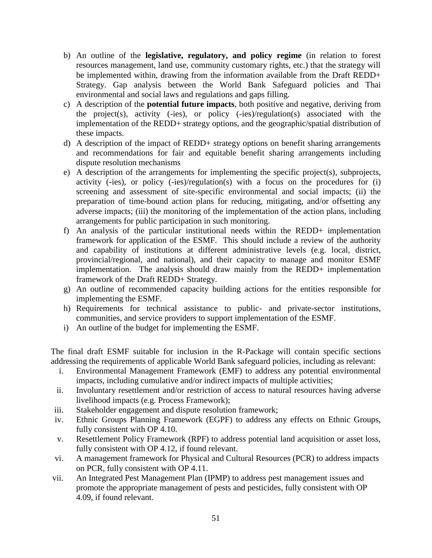- b) An outline of the **legislative, regulatory, and policy regime** (in relation to forest resources management, land use, community customary rights, etc.) that the strategy will be implemented within, drawing from the information available from the Draft REDD+ Strategy. Gap analysis between the World Bank Safeguard policies and Thai environmental and social laws and regulations and gaps filling.
- c) A description of the **potential future impacts**, both positive and negative, deriving from the project(s), activity (-ies), or policy (-ies)/regulation(s) associated with the implementation of the REDD+ strategy options, and the geographic/spatial distribution of these impacts.
- d) A description of the impact of REDD+ strategy options on benefit sharing arrangements and recommendations for fair and equitable benefit sharing arrangements including dispute resolution mechanisms
- e) A description of the arrangements for implementing the specific project(s), subprojects, activity (-ies), or policy (-ies)/regulation(s) with a focus on the procedures for (i) screening and assessment of site-specific environmental and social impacts; (ii) the preparation of time-bound action plans for reducing, mitigating, and/or offsetting any adverse impacts; (iii) the monitoring of the implementation of the action plans, including arrangements for public participation in such monitoring.
- f) An analysis of the particular institutional needs within the REDD+ implementation framework for application of the ESMF. This should include a review of the authority and capability of institutions at different administrative levels (e.g. local, district, provincial/regional, and national), and their capacity to manage and monitor ESMF implementation. The analysis should draw mainly from the REDD+ implementation framework of the Draft REDD+ Strategy.
- g) An outline of recommended capacity building actions for the entities responsible for implementing the ESMF.
- h) Requirements for technical assistance to public- and private-sector institutions, communities, and service providers to support implementation of the ESMF.
- i) An outline of the budget for implementing the ESMF.

The final draft ESMF suitable for inclusion in the R-Package will contain specific sections addressing the requirements of applicable World Bank safeguard policies, including as relevant:

- i. Environmental Management Framework (EMF) to address any potential environmental impacts, including cumulative and/or indirect impacts of multiple activities;
- ii. Involuntary resettlement and/or restriction of access to natural resources having adverse livelihood impacts (e.g. Process Framework);
- iii. Stakeholder engagement and dispute resolution framework;
- iv. Ethnic Groups Planning Framework (EGPF) to address any effects on Ethnic Groups, fully consistent with OP 4.10.
- v. Resettlement Policy Framework (RPF) to address potential land acquisition or asset loss, fully consistent with OP 4.12, if found relevant.
- vi. A management framework for Physical and Cultural Resources (PCR) to address impacts on PCR, fully consistent with OP 4.11.
- vii. An Integrated Pest Management Plan (IPMP) to address pest management issues and promote the appropriate management of pests and pesticides, fully consistent with OP 4.09, if found relevant.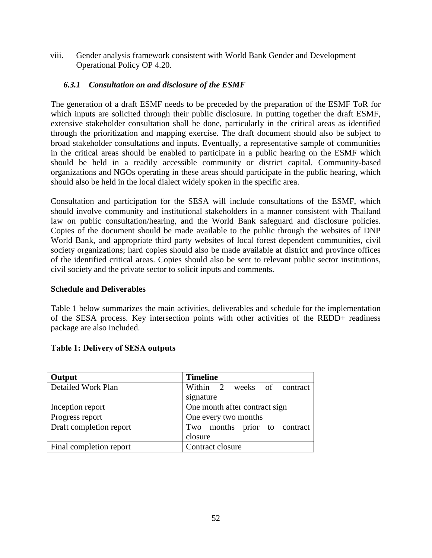viii. Gender analysis framework consistent with World Bank Gender and Development Operational Policy OP 4.20.

## *6.3.1 Consultation on and disclosure of the ESMF*

The generation of a draft ESMF needs to be preceded by the preparation of the ESMF ToR for which inputs are solicited through their public disclosure. In putting together the draft ESMF, extensive stakeholder consultation shall be done, particularly in the critical areas as identified through the prioritization and mapping exercise. The draft document should also be subject to broad stakeholder consultations and inputs. Eventually, a representative sample of communities in the critical areas should be enabled to participate in a public hearing on the ESMF which should be held in a readily accessible community or district capital. Community-based organizations and NGOs operating in these areas should participate in the public hearing, which should also be held in the local dialect widely spoken in the specific area.

Consultation and participation for the SESA will include consultations of the ESMF, which should involve community and institutional stakeholders in a manner consistent with Thailand law on public consultation/hearing, and the World Bank safeguard and disclosure policies. Copies of the document should be made available to the public through the websites of DNP World Bank, and appropriate third party websites of local forest dependent communities, civil society organizations; hard copies should also be made available at district and province offices of the identified critical areas. Copies should also be sent to relevant public sector institutions, civil society and the private sector to solicit inputs and comments.

## **Schedule and Deliverables**

Table 1 below summarizes the main activities, deliverables and schedule for the implementation of the SESA process. Key intersection points with other activities of the REDD+ readiness package are also included.

| Output                  | <b>Timeline</b>               |  |
|-------------------------|-------------------------------|--|
| Detailed Work Plan      | Within 2 weeks of contract    |  |
|                         | signature                     |  |
| Inception report        | One month after contract sign |  |
| Progress report         | One every two months          |  |
| Draft completion report | Two months prior to contract  |  |
|                         | closure                       |  |
| Final completion report | Contract closure              |  |

## **Table 1: Delivery of SESA outputs**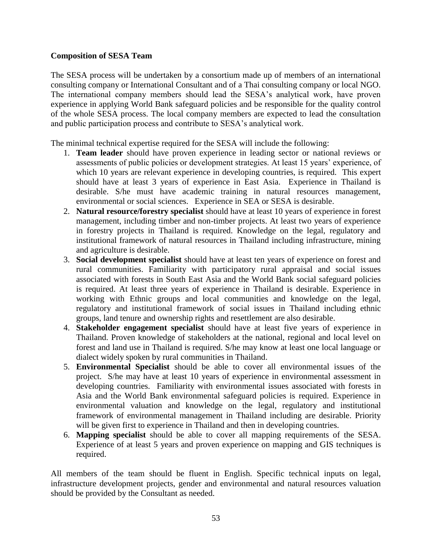#### **Composition of SESA Team**

The SESA process will be undertaken by a consortium made up of members of an international consulting company or International Consultant and of a Thai consulting company or local NGO. The international company members should lead the SESA's analytical work, have proven experience in applying World Bank safeguard policies and be responsible for the quality control of the whole SESA process. The local company members are expected to lead the consultation and public participation process and contribute to SESA's analytical work.

The minimal technical expertise required for the SESA will include the following:

- 1. **Team leader** should have proven experience in leading sector or national reviews or assessments of public policies or development strategies. At least 15 years' experience, of which 10 years are relevant experience in developing countries, is required. This expert should have at least 3 years of experience in East Asia. Experience in Thailand is desirable. S/he must have academic training in natural resources management, environmental or social sciences. Experience in SEA or SESA is desirable.
- 2. **Natural resource/forestry specialist** should have at least 10 years of experience in forest management, including timber and non-timber projects. At least two years of experience in forestry projects in Thailand is required. Knowledge on the legal, regulatory and institutional framework of natural resources in Thailand including infrastructure, mining and agriculture is desirable.
- 3. **Social development specialist** should have at least ten years of experience on forest and rural communities. Familiarity with participatory rural appraisal and social issues associated with forests in South East Asia and the World Bank social safeguard policies is required. At least three years of experience in Thailand is desirable. Experience in working with Ethnic groups and local communities and knowledge on the legal, regulatory and institutional framework of social issues in Thailand including ethnic groups, land tenure and ownership rights and resettlement are also desirable.
- 4. **Stakeholder engagement specialist** should have at least five years of experience in Thailand. Proven knowledge of stakeholders at the national, regional and local level on forest and land use in Thailand is required. S/he may know at least one local language or dialect widely spoken by rural communities in Thailand.
- 5. **Environmental Specialist** should be able to cover all environmental issues of the project. S/he may have at least 10 years of experience in environmental assessment in developing countries. Familiarity with environmental issues associated with forests in Asia and the World Bank environmental safeguard policies is required. Experience in environmental valuation and knowledge on the legal, regulatory and institutional framework of environmental management in Thailand including are desirable. Priority will be given first to experience in Thailand and then in developing countries.
- 6. **Mapping specialist** should be able to cover all mapping requirements of the SESA. Experience of at least 5 years and proven experience on mapping and GIS techniques is required.

All members of the team should be fluent in English. Specific technical inputs on legal, infrastructure development projects, gender and environmental and natural resources valuation should be provided by the Consultant as needed.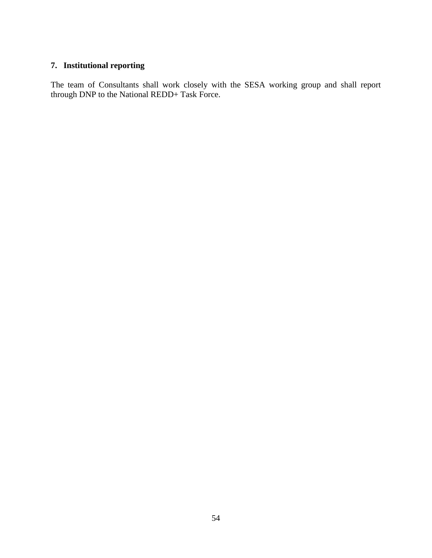# **7. Institutional reporting**

The team of Consultants shall work closely with the SESA working group and shall report through DNP to the National REDD+ Task Force.